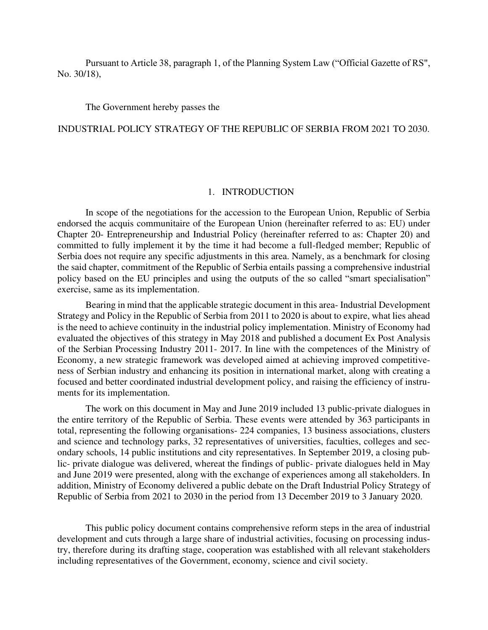Pursuant to Article 38, paragraph 1, of the Planning System Law ("Official Gazette of RS", No. 30/18),

The Government hereby passes the

#### INDUSTRIAL POLICY STRATEGY OF THE REPUBLIC OF SERBIA FROM 2021 TO 2030.

#### 1. INTRODUCTION

In scope of the negotiations for the accession to the European Union, Republic of Serbia endorsed the acquis communitaire of the European Union (hereinafter referred to as: EU) under Chapter 20- Entrepreneurship and Industrial Policy (hereinafter referred to as: Chapter 20) and committed to fully implement it by the time it had become a full-fledged member; Republic of Serbia does not require any specific adjustments in this area. Namely, as a benchmark for closing the said chapter, commitment of the Republic of Serbia entails passing a comprehensive industrial policy based on the EU principles and using the outputs of the so called "smart specialisation" exercise, same as its implementation.

Bearing in mind that the applicable strategic document in this area- Industrial Development Strategy and Policy in the Republic of Serbia from 2011 to 2020 is about to expire, what lies ahead is the need to achieve continuity in the industrial policy implementation. Ministry of Economy had evaluated the objectives of this strategy in May 2018 and published a document Ex Post Analysis of the Serbian Processing Industry 2011- 2017. In line with the competences of the Ministry of Economy, a new strategic framework was developed aimed at achieving improved competitiveness of Serbian industry and enhancing its position in international market, along with creating a focused and better coordinated industrial development policy, and raising the efficiency of instruments for its implementation.

The work on this document in May and June 2019 included 13 public-private dialogues in the entire territory of the Republic of Serbia. These events were attended by 363 participants in total, representing the following organisations- 224 companies, 13 business associations, clusters and science and technology parks, 32 representatives of universities, faculties, colleges and secondary schools, 14 public institutions and city representatives. In September 2019, a closing public- private dialogue was delivered, whereat the findings of public- private dialogues held in May and June 2019 were presented, along with the exchange of experiences among all stakeholders. In addition, Ministry of Economy delivered a public debate on the Draft Industrial Policy Strategy of Republic of Serbia from 2021 to 2030 in the period from 13 December 2019 to 3 January 2020.

This public policy document contains comprehensive reform steps in the area of industrial development and cuts through a large share of industrial activities, focusing on processing industry, therefore during its drafting stage, cooperation was established with all relevant stakeholders including representatives of the Government, economy, science and civil society.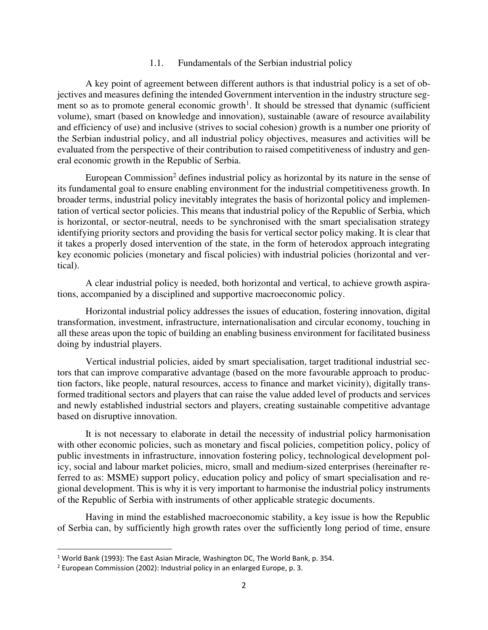#### 1.1. Fundamentals of the Serbian industrial policy

A key point of agreement between different authors is that industrial policy is a set of objectives and measures defining the intended Government intervention in the industry structure segment so as to promote general economic growth<sup>1</sup>. It should be stressed that dynamic (sufficient volume), smart (based on knowledge and innovation), sustainable (aware of resource availability and efficiency of use) and inclusive (strives to social cohesion) growth is a number one priority of the Serbian industrial policy, and all industrial policy objectives, measures and activities will be evaluated from the perspective of their contribution to raised competitiveness of industry and general economic growth in the Republic of Serbia.

European Commission<sup>2</sup> defines industrial policy as horizontal by its nature in the sense of its fundamental goal to ensure enabling environment for the industrial competitiveness growth. In broader terms, industrial policy inevitably integrates the basis of horizontal policy and implementation of vertical sector policies. This means that industrial policy of the Republic of Serbia, which is horizontal, or sector-neutral, needs to be synchronised with the smart specialisation strategy identifying priority sectors and providing the basis for vertical sector policy making. It is clear that it takes a properly dosed intervention of the state, in the form of heterodox approach integrating key economic policies (monetary and fiscal policies) with industrial policies (horizontal and vertical).

A clear industrial policy is needed, both horizontal and vertical, to achieve growth aspirations, accompanied by a disciplined and supportive macroeconomic policy.

Horizontal industrial policy addresses the issues of education, fostering innovation, digital transformation, investment, infrastructure, internationalisation and circular economy, touching in all these areas upon the topic of building an enabling business environment for facilitated business doing by industrial players.

Vertical industrial policies, aided by smart specialisation, target traditional industrial sectors that can improve comparative advantage (based on the more favourable approach to production factors, like people, natural resources, access to finance and market vicinity), digitally transformed traditional sectors and players that can raise the value added level of products and services and newly established industrial sectors and players, creating sustainable competitive advantage based on disruptive innovation.

It is not necessary to elaborate in detail the necessity of industrial policy harmonisation with other economic policies, such as monetary and fiscal policies, competition policy, policy of public investments in infrastructure, innovation fostering policy, technological development policy, social and labour market policies, micro, small and medium-sized enterprises (hereinafter referred to as: MSME) support policy, education policy and policy of smart specialisation and regional development. This is why it is very important to harmonise the industrial policy instruments of the Republic of Serbia with instruments of other applicable strategic documents.

Having in mind the established macroeconomic stability, a key issue is how the Republic of Serbia can, by sufficiently high growth rates over the sufficiently long period of time, ensure

 $<sup>1</sup>$  World Bank (1993): The East Asian Miracle, Washington DC, The World Bank, p. 354.</sup>

<sup>&</sup>lt;sup>2</sup> European Commission (2002): Industrial policy in an enlarged Europe, p. 3.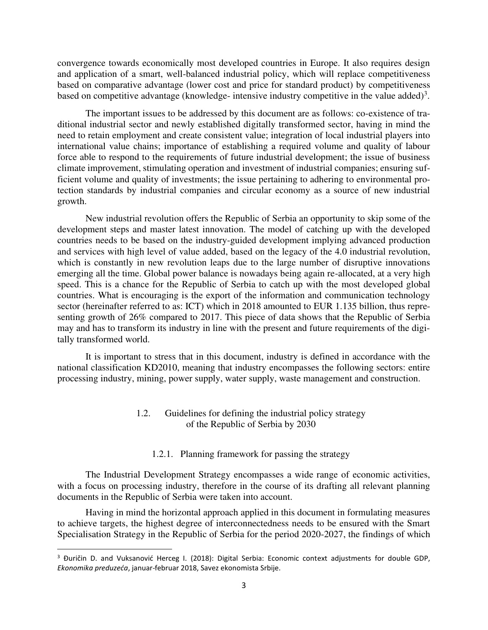convergence towards economically most developed countries in Europe. It also requires design and application of a smart, well-balanced industrial policy, which will replace competitiveness based on comparative advantage (lower cost and price for standard product) by competitiveness based on competitive advantage (knowledge- intensive industry competitive in the value added)<sup>3</sup>.

The important issues to be addressed by this document are as follows: co-existence of traditional industrial sector and newly established digitally transformed sector, having in mind the need to retain employment and create consistent value; integration of local industrial players into international value chains; importance of establishing a required volume and quality of labour force able to respond to the requirements of future industrial development; the issue of business climate improvement, stimulating operation and investment of industrial companies; ensuring sufficient volume and quality of investments; the issue pertaining to adhering to environmental protection standards by industrial companies and circular economy as a source of new industrial growth.

New industrial revolution offers the Republic of Serbia an opportunity to skip some of the development steps and master latest innovation. The model of catching up with the developed countries needs to be based on the industry-guided development implying advanced production and services with high level of value added, based on the legacy of the 4.0 industrial revolution, which is constantly in new revolution leaps due to the large number of disruptive innovations emerging all the time. Global power balance is nowadays being again re-allocated, at a very high speed. This is a chance for the Republic of Serbia to catch up with the most developed global countries. What is encouraging is the export of the information and communication technology sector (hereinafter referred to as: ICT) which in 2018 amounted to EUR 1.135 billion, thus representing growth of 26% compared to 2017. This piece of data shows that the Republic of Serbia may and has to transform its industry in line with the present and future requirements of the digitally transformed world.

It is important to stress that in this document, industry is defined in accordance with the national classification KD2010, meaning that industry encompasses the following sectors: entire processing industry, mining, power supply, water supply, waste management and construction.

# 1.2. Guidelines for defining the industrial policy strategy of the Republic of Serbia by 2030

## 1.2.1. Planning framework for passing the strategy

The Industrial Development Strategy encompasses a wide range of economic activities, with a focus on processing industry, therefore in the course of its drafting all relevant planning documents in the Republic of Serbia were taken into account.

Having in mind the horizontal approach applied in this document in formulating measures to achieve targets, the highest degree of interconnectedness needs to be ensured with the Smart Specialisation Strategy in the Republic of Serbia for the period 2020-2027, the findings of which

<sup>&</sup>lt;sup>3</sup> Đuričin D. and Vuksanović Herceg I. (2018): Digital Serbia: Economic context adjustments for double GDP, *Ekonomika preduzeća*, januar-februar 2018, Savez ekonomista Srbije.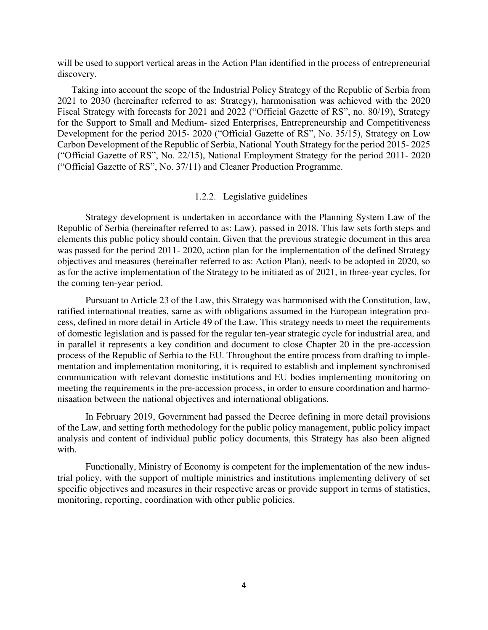will be used to support vertical areas in the Action Plan identified in the process of entrepreneurial discovery.

Taking into account the scope of the Industrial Policy Strategy of the Republic of Serbia from 2021 to 2030 (hereinafter referred to as: Strategy), harmonisation was achieved with the 2020 Fiscal Strategy with forecasts for 2021 and 2022 ("Official Gazette of RS", no. 80/19), Strategy for the Support to Small and Medium- sized Enterprises, Entrepreneurship and Competitiveness Development for the period 2015- 2020 ("Official Gazette of RS", No. 35/15), Strategy on Low Carbon Development of the Republic of Serbia, National Youth Strategy for the period 2015- 2025 ("Official Gazette of RS", No. 22/15), National Employment Strategy for the period 2011- 2020 ("Official Gazette of RS", No. 37/11) and Cleaner Production Programme.

#### 1.2.2. Legislative guidelines

Strategy development is undertaken in accordance with the Planning System Law of the Republic of Serbia (hereinafter referred to as: Law), passed in 2018. This law sets forth steps and elements this public policy should contain. Given that the previous strategic document in this area was passed for the period 2011- 2020, action plan for the implementation of the defined Strategy objectives and measures (hereinafter referred to as: Action Plan), needs to be adopted in 2020, so as for the active implementation of the Strategy to be initiated as of 2021, in three-year cycles, for the coming ten-year period.

Pursuant to Article 23 of the Law, this Strategy was harmonised with the Constitution, law, ratified international treaties, same as with obligations assumed in the European integration process, defined in more detail in Article 49 of the Law. This strategy needs to meet the requirements of domestic legislation and is passed for the regular ten-year strategic cycle for industrial area, and in parallel it represents a key condition and document to close Chapter 20 in the pre-accession process of the Republic of Serbia to the EU. Throughout the entire process from drafting to implementation and implementation monitoring, it is required to establish and implement synchronised communication with relevant domestic institutions and EU bodies implementing monitoring on meeting the requirements in the pre-accession process, in order to ensure coordination and harmonisaation between the national objectives and international obligations.

In February 2019, Government had passed the Decree defining in more detail provisions of the Law, and setting forth methodology for the public policy management, public policy impact analysis and content of individual public policy documents, this Strategy has also been aligned with.

Functionally, Ministry of Economy is competent for the implementation of the new industrial policy, with the support of multiple ministries and institutions implementing delivery of set specific objectives and measures in their respective areas or provide support in terms of statistics, monitoring, reporting, coordination with other public policies.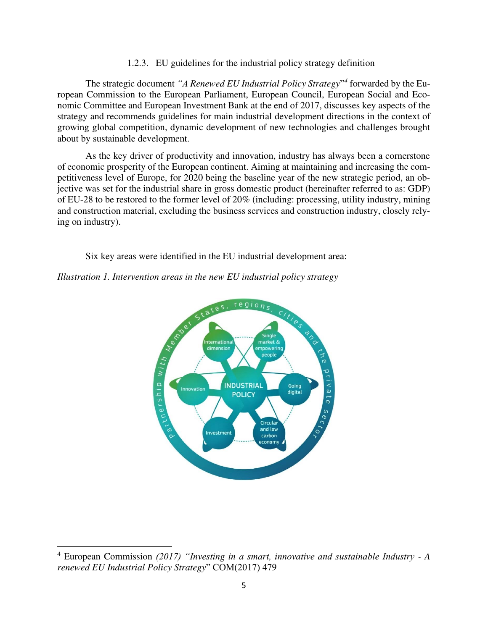1.2.3. EU guidelines for the industrial policy strategy definition

The strategic document *"A Renewed EU Industrial Policy Strategy*" *4* forwarded by the European Commission to the European Parliament, European Council, European Social and Economic Committee and European Investment Bank at the end of 2017, discusses key aspects of the strategy and recommends guidelines for main industrial development directions in the context of growing global competition, dynamic development of new technologies and challenges brought about by sustainable development.

As the key driver of productivity and innovation, industry has always been a cornerstone of economic prosperity of the European continent. Aiming at maintaining and increasing the competitiveness level of Europe, for 2020 being the baseline year of the new strategic period, an objective was set for the industrial share in gross domestic product (hereinafter referred to as: GDP) of EU-28 to be restored to the former level of 20% (including: processing, utility industry, mining and construction material, excluding the business services and construction industry, closely relying on industry).

Six key areas were identified in the EU industrial development area:

*Illustration 1. Intervention areas in the new EU industrial policy strategy* 



<sup>&</sup>lt;sup>4</sup> European Commission (2017) "Investing in a smart, innovative and sustainable Industry - A *renewed EU Industrial Policy Strategy*" COM(2017) 479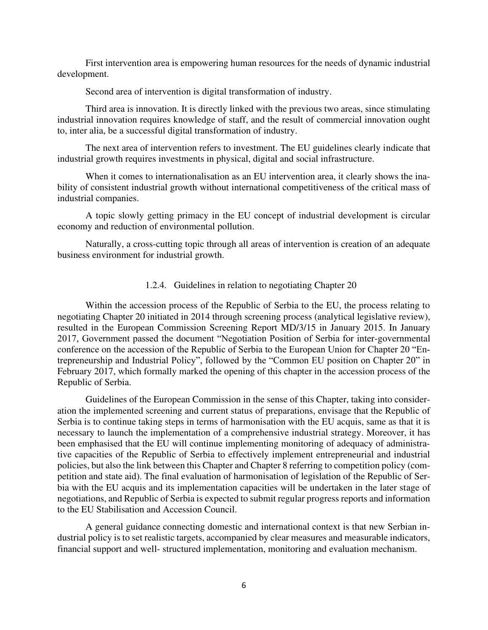First intervention area is empowering human resources for the needs of dynamic industrial development.

Second area of intervention is digital transformation of industry.

Third area is innovation. It is directly linked with the previous two areas, since stimulating industrial innovation requires knowledge of staff, and the result of commercial innovation ought to, inter alia, be a successful digital transformation of industry.

The next area of intervention refers to investment. The EU guidelines clearly indicate that industrial growth requires investments in physical, digital and social infrastructure.

When it comes to internationalisation as an EU intervention area, it clearly shows the inability of consistent industrial growth without international competitiveness of the critical mass of industrial companies.

A topic slowly getting primacy in the EU concept of industrial development is circular economy and reduction of environmental pollution.

Naturally, a cross-cutting topic through all areas of intervention is creation of an adequate business environment for industrial growth.

#### 1.2.4. Guidelines in relation to negotiating Chapter 20

Within the accession process of the Republic of Serbia to the EU, the process relating to negotiating Chapter 20 initiated in 2014 through screening process (analytical legislative review), resulted in the European Commission Screening Report MD/3/15 in January 2015. In January 2017, Government passed the document "Negotiation Position of Serbia for inter-governmental conference on the accession of the Republic of Serbia to the European Union for Chapter 20 "Entrepreneurship and Industrial Policy", followed by the "Common EU position on Chapter 20" in February 2017, which formally marked the opening of this chapter in the accession process of the Republic of Serbia.

Guidelines of the European Commission in the sense of this Chapter, taking into consideration the implemented screening and current status of preparations, envisage that the Republic of Serbia is to continue taking steps in terms of harmonisation with the EU acquis, same as that it is necessary to launch the implementation of a comprehensive industrial strategy. Moreover, it has been emphasised that the EU will continue implementing monitoring of adequacy of administrative capacities of the Republic of Serbia to effectively implement entrepreneurial and industrial policies, but also the link between this Chapter and Chapter 8 referring to competition policy (competition and state aid). The final evaluation of harmonisation of legislation of the Republic of Serbia with the EU acquis and its implementation capacities will be undertaken in the later stage of negotiations, and Republic of Serbia is expected to submit regular progress reports and information to the EU Stabilisation and Accession Council.

A general guidance connecting domestic and international context is that new Serbian industrial policy is to set realistic targets, accompanied by clear measures and measurable indicators, financial support and well- structured implementation, monitoring and evaluation mechanism.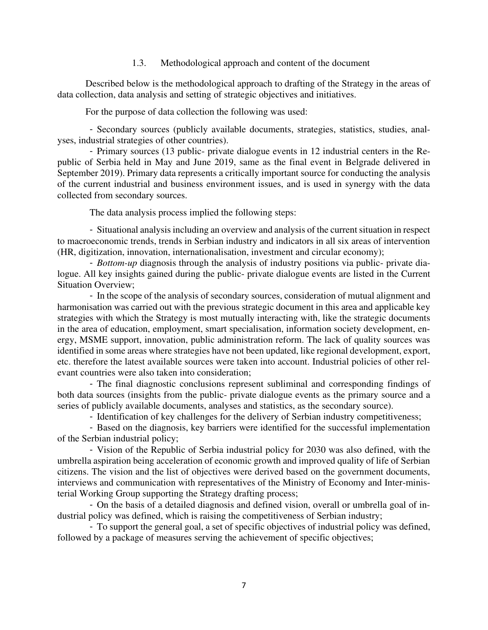1.3. Methodological approach and content of the document

Described below is the methodological approach to drafting of the Strategy in the areas of data collection, data analysis and setting of strategic objectives and initiatives.

For the purpose of data collection the following was used:

- Secondary sources (publicly available documents, strategies, statistics, studies, analyses, industrial strategies of other countries).

- Primary sources (13 public- private dialogue events in 12 industrial centers in the Republic of Serbia held in May and June 2019, same as the final event in Belgrade delivered in September 2019). Primary data represents a critically important source for conducting the analysis of the current industrial and business environment issues, and is used in synergy with the data collected from secondary sources.

The data analysis process implied the following steps:

- Situational analysis including an overview and analysis of the current situation in respect to macroeconomic trends, trends in Serbian industry and indicators in all six areas of intervention (HR, digitization, innovation, internationalisation, investment and circular economy);

- *Bottom-up* diagnosis through the analysis of industry positions via public- private dialogue. All key insights gained during the public- private dialogue events are listed in the Current Situation Overview;

- In the scope of the analysis of secondary sources, consideration of mutual alignment and harmonisation was carried out with the previous strategic document in this area and applicable key strategies with which the Strategy is most mutually interacting with, like the strategic documents in the area of education, employment, smart specialisation, information society development, energy, MSME support, innovation, public administration reform. The lack of quality sources was identified in some areas where strategies have not been updated, like regional development, export, etc. therefore the latest available sources were taken into account. Industrial policies of other relevant countries were also taken into consideration;

- The final diagnostic conclusions represent subliminal and corresponding findings of both data sources (insights from the public- private dialogue events as the primary source and a series of publicly available documents, analyses and statistics, as the secondary source).

- Identification of key challenges for the delivery of Serbian industry competitiveness;

- Based on the diagnosis, key barriers were identified for the successful implementation of the Serbian industrial policy;

- Vision of the Republic of Serbia industrial policy for 2030 was also defined, with the umbrella aspiration being acceleration of economic growth and improved quality of life of Serbian citizens. The vision and the list of objectives were derived based on the government documents, interviews and communication with representatives of the Ministry of Economy and Inter-ministerial Working Group supporting the Strategy drafting process;

- On the basis of a detailed diagnosis and defined vision, overall or umbrella goal of industrial policy was defined, which is raising the competitiveness of Serbian industry;

- To support the general goal, a set of specific objectives of industrial policy was defined, followed by a package of measures serving the achievement of specific objectives;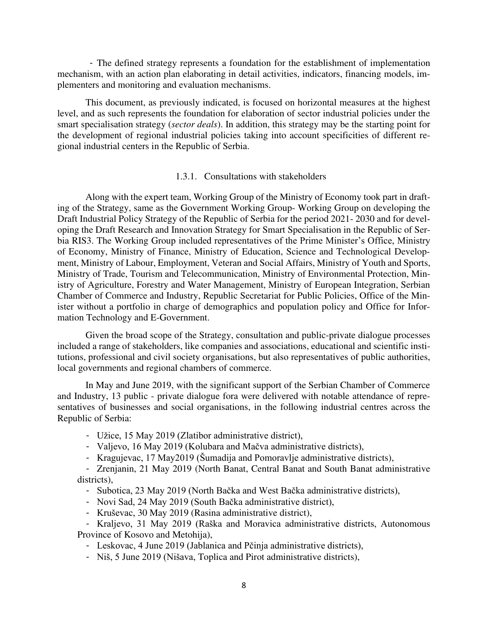- The defined strategy represents a foundation for the establishment of implementation mechanism, with an action plan elaborating in detail activities, indicators, financing models, implementers and monitoring and evaluation mechanisms.

This document, as previously indicated, is focused on horizontal measures at the highest level, and as such represents the foundation for elaboration of sector industrial policies under the smart specialisation strategy (*sector deals*). In addition, this strategy may be the starting point for the development of regional industrial policies taking into account specificities of different regional industrial centers in the Republic of Serbia.

#### 1.3.1. Consultations with stakeholders

Along with the expert team, Working Group of the Ministry of Economy took part in drafting of the Strategy, same as the Government Working Group- Working Group on developing the Draft Industrial Policy Strategy of the Republic of Serbia for the period 2021- 2030 and for developing the Draft Research and Innovation Strategy for Smart Specialisation in the Republic of Serbia RIS3. The Working Group included representatives of the Prime Minister's Office, Ministry of Economy, Ministry of Finance, Ministry of Education, Science and Technological Development, Ministry of Labour, Employment, Veteran and Social Affairs, Ministry of Youth and Sports, Ministry of Trade, Tourism and Telecommunication, Ministry of Environmental Protection, Ministry of Agriculture, Forestry and Water Management, Ministry of European Integration, Serbian Chamber of Commerce and Industry, Republic Secretariat for Public Policies, Office of the Minister without a portfolio in charge of demographics and population policy and Office for Information Technology and E-Government.

Given the broad scope of the Strategy, consultation and public-private dialogue processes included a range of stakeholders, like companies and associations, educational and scientific institutions, professional and civil society organisations, but also representatives of public authorities, local governments and regional chambers of commerce.

In May and June 2019, with the significant support of the Serbian Chamber of Commerce and Industry, 13 public - private dialogue fora were delivered with notable attendance of representatives of businesses and social organisations, in the following industrial centres across the Republic of Serbia:

- Užice, 15 May 2019 (Zlatibor administrative district),
- Valjevo, 16 May 2019 (Kolubara and Mačva administrative districts),
- Kragujevac, 17 May2019 (Šumadija and Pomoravlje administrative districts),

- Zrenjanin, 21 May 2019 (North Banat, Central Banat and South Banat administrative districts).

- Subotica, 23 May 2019 (North Bačka and West Bačka administrative districts),
- Novi Sad, 24 May 2019 (South Bačka administrative district),
- Kruševac, 30 May 2019 (Rasina administrative district),

- Kraljevo, 31 May 2019 (Raška and Moravica administrative districts, Autonomous Province of Kosovo and Metohija),

- Leskovac, 4 June 2019 (Jablanica and Pčinja administrative districts),
- Niš, 5 June 2019 (Nišava, Toplica and Pirot administrative districts),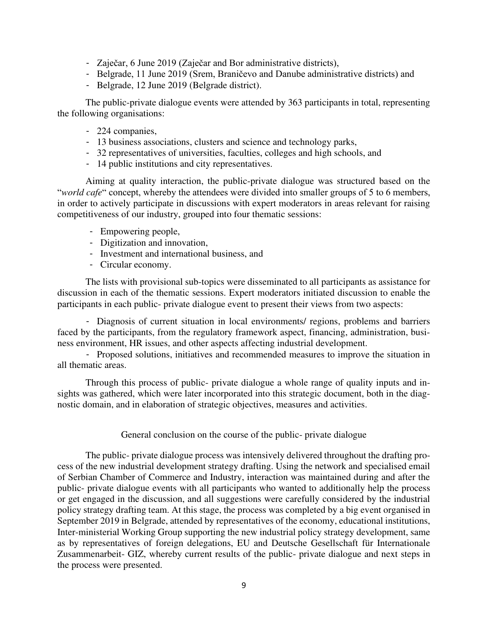- Zaječar, 6 June 2019 (Zaječar and Bor administrative districts),
- Belgrade, 11 June 2019 (Srem, Braničevo and Danube administrative districts) and
- Belgrade, 12 June 2019 (Belgrade district).

The public-private dialogue events were attended by 363 participants in total, representing the following organisations:

- 224 companies,
- 13 business associations, clusters and science and technology parks,
- 32 representatives of universities, faculties, colleges and high schools, and
- 14 public institutions and city representatives.

Aiming at quality interaction, the public-private dialogue was structured based on the "*world cafe*" concept, whereby the attendees were divided into smaller groups of 5 to 6 members, in order to actively participate in discussions with expert moderators in areas relevant for raising competitiveness of our industry, grouped into four thematic sessions:

- Empowering people,
- Digitization and innovation,
- Investment and international business, and
- Circular economy.

The lists with provisional sub-topics were disseminated to all participants as assistance for discussion in each of the thematic sessions. Expert moderators initiated discussion to enable the participants in each public- private dialogue event to present their views from two aspects:

- Diagnosis of current situation in local environments/ regions, problems and barriers faced by the participants, from the regulatory framework aspect, financing, administration, business environment, HR issues, and other aspects affecting industrial development.

- Proposed solutions, initiatives and recommended measures to improve the situation in all thematic areas.

Through this process of public- private dialogue a whole range of quality inputs and insights was gathered, which were later incorporated into this strategic document, both in the diagnostic domain, and in elaboration of strategic objectives, measures and activities.

#### General conclusion on the course of the public- private dialogue

The public- private dialogue process was intensively delivered throughout the drafting process of the new industrial development strategy drafting. Using the network and specialised email of Serbian Chamber of Commerce and Industry, interaction was maintained during and after the public- private dialogue events with all participants who wanted to additionally help the process or get engaged in the discussion, and all suggestions were carefully considered by the industrial policy strategy drafting team. At this stage, the process was completed by a big event organised in September 2019 in Belgrade, attended by representatives of the economy, educational institutions, Inter-ministerial Working Group supporting the new industrial policy strategy development, same as by representatives of foreign delegations, EU and Deutsche Gesellschaft für Internationale Zusammenarbeit- GIZ, whereby current results of the public- private dialogue and next steps in the process were presented.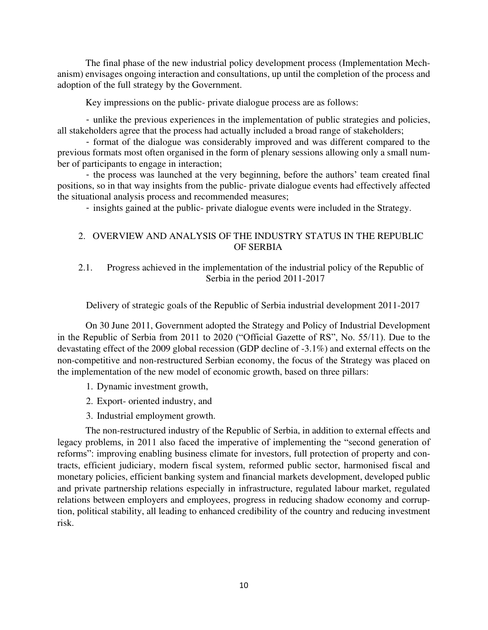The final phase of the new industrial policy development process (Implementation Mechanism) envisages ongoing interaction and consultations, up until the completion of the process and adoption of the full strategy by the Government.

Key impressions on the public- private dialogue process are as follows:

- unlike the previous experiences in the implementation of public strategies and policies, all stakeholders agree that the process had actually included a broad range of stakeholders;

- format of the dialogue was considerably improved and was different compared to the previous formats most often organised in the form of plenary sessions allowing only a small number of participants to engage in interaction;

- the process was launched at the very beginning, before the authors' team created final positions, so in that way insights from the public- private dialogue events had effectively affected the situational analysis process and recommended measures;

- insights gained at the public- private dialogue events were included in the Strategy.

# 2. OVERVIEW AND ANALYSIS OF THE INDUSTRY STATUS IN THE REPUBLIC OF SERBIA

# 2.1. Progress achieved in the implementation of the industrial policy of the Republic of Serbia in the period 2011-2017

Delivery of strategic goals of the Republic of Serbia industrial development 2011-2017

On 30 June 2011, Government adopted the Strategy and Policy of Industrial Development in the Republic of Serbia from 2011 to 2020 ("Official Gazette of RS", No. 55/11). Due to the devastating effect of the 2009 global recession (GDP decline of -3.1%) and external effects on the non-competitive and non-restructured Serbian economy, the focus of the Strategy was placed on the implementation of the new model of economic growth, based on three pillars:

- 1. Dynamic investment growth,
- 2. Export- oriented industry, and
- 3. Industrial employment growth.

The non-restructured industry of the Republic of Serbia, in addition to external effects and legacy problems, in 2011 also faced the imperative of implementing the "second generation of reforms": improving enabling business climate for investors, full protection of property and contracts, efficient judiciary, modern fiscal system, reformed public sector, harmonised fiscal and monetary policies, efficient banking system and financial markets development, developed public and private partnership relations especially in infrastructure, regulated labour market, regulated relations between employers and employees, progress in reducing shadow economy and corruption, political stability, all leading to enhanced credibility of the country and reducing investment risk.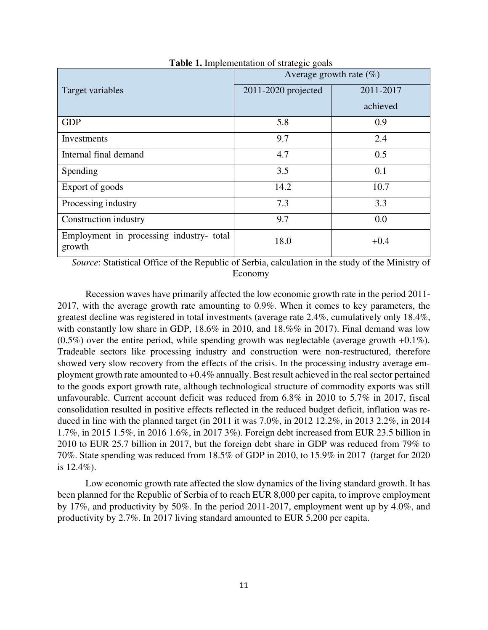|                                                    | Average growth rate $(\%)$ |           |  |  |
|----------------------------------------------------|----------------------------|-----------|--|--|
| Target variables                                   | 2011-2020 projected        | 2011-2017 |  |  |
|                                                    |                            | achieved  |  |  |
| <b>GDP</b>                                         | 5.8                        | 0.9       |  |  |
| Investments                                        | 9.7                        | 2.4       |  |  |
| Internal final demand                              | 4.7                        | 0.5       |  |  |
| Spending                                           | 3.5                        | 0.1       |  |  |
| Export of goods                                    | 14.2                       | 10.7      |  |  |
| Processing industry                                | 7.3                        | 3.3       |  |  |
| Construction industry                              | 9.7                        | 0.0       |  |  |
| Employment in processing industry- total<br>growth | 18.0                       | $+0.4$    |  |  |

**Table 1.** Implementation of strategic goals

*Source*: Statistical Office of the Republic of Serbia, calculation in the study of the Ministry of Economy

Recession waves have primarily affected the low economic growth rate in the period 2011- 2017, with the average growth rate amounting to 0.9%. When it comes to key parameters, the greatest decline was registered in total investments (average rate 2.4%, cumulatively only 18.4%, with constantly low share in GDP, 18.6% in 2010, and 18.%% in 2017). Final demand was low  $(0.5\%)$  over the entire period, while spending growth was neglectable (average growth +0.1%). Tradeable sectors like processing industry and construction were non-restructured, therefore showed very slow recovery from the effects of the crisis. In the processing industry average employment growth rate amounted to +0.4% annually. Best result achieved in the real sector pertained to the goods export growth rate, although technological structure of commodity exports was still unfavourable. Current account deficit was reduced from 6.8% in 2010 to 5.7% in 2017, fiscal consolidation resulted in positive effects reflected in the reduced budget deficit, inflation was reduced in line with the planned target (in 2011 it was 7.0%, in 2012 12.2%, in 2013 2.2%, in 2014 1.7%, in 2015 1.5%, in 2016 1.6%, in 2017 3%). Foreign debt increased from EUR 23.5 billion in 2010 to EUR 25.7 billion in 2017, but the foreign debt share in GDP was reduced from 79% to 70%. State spending was reduced from 18.5% of GDP in 2010, to 15.9% in 2017 (target for 2020 is 12.4%).

Low economic growth rate affected the slow dynamics of the living standard growth. It has been planned for the Republic of Serbia of to reach EUR 8,000 per capita, to improve employment by 17%, and productivity by 50%. In the period 2011-2017, employment went up by 4.0%, and productivity by 2.7%. In 2017 living standard amounted to EUR 5,200 per capita.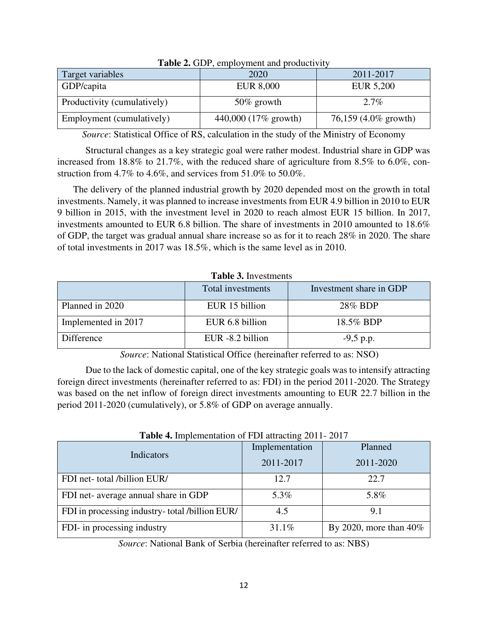| <b>rapic <math>\mu</math>.</b> ODI, only of them and productivity |                      |                      |  |  |
|-------------------------------------------------------------------|----------------------|----------------------|--|--|
| Target variables                                                  | 2020                 | 2011-2017            |  |  |
| GDP/capita                                                        | <b>EUR 8,000</b>     | EUR 5,200            |  |  |
| Productivity (cumulatively)                                       | $50\%$ growth        | $2.7\%$              |  |  |
| Employment (cumulatively)                                         | 440,000 (17% growth) | 76,159 (4.0% growth) |  |  |

| <b>Table 2.</b> GDP, employment and productivity |  |  |
|--------------------------------------------------|--|--|
|--------------------------------------------------|--|--|

*Source*: Statistical Office of RS, calculation in the study of the Ministry of Economy

Structural changes as a key strategic goal were rather modest. Industrial share in GDP was increased from 18.8% to 21.7%, with the reduced share of agriculture from 8.5% to 6.0%, construction from 4.7% to 4.6%, and services from 51.0% to 50.0%.

The delivery of the planned industrial growth by 2020 depended most on the growth in total investments. Namely, it was planned to increase investments from EUR 4.9 billion in 2010 to EUR 9 billion in 2015, with the investment level in 2020 to reach almost EUR 15 billion. In 2017, investments amounted to EUR 6.8 billion. The share of investments in 2010 amounted to 18.6% of GDP, the target was gradual annual share increase so as for it to reach 28% in 2020. The share of total investments in 2017 was 18.5%, which is the same level as in 2010.

| <b>Table 3.</b> Investments |                   |                         |  |  |  |
|-----------------------------|-------------------|-------------------------|--|--|--|
|                             | Total investments | Investment share in GDP |  |  |  |
| Planned in 2020             | EUR 15 billion    | 28% BDP                 |  |  |  |
| Implemented in 2017         | EUR 6.8 billion   | 18.5% BDP               |  |  |  |
| <b>Difference</b>           | EUR -8.2 billion  | $-9,5$ p.p.             |  |  |  |

*Source*: National Statistical Office (hereinafter referred to as: NSO)

Due to the lack of domestic capital, one of the key strategic goals was to intensify attracting foreign direct investments (hereinafter referred to as: FDI) in the period 2011-2020. The Strategy was based on the net inflow of foreign direct investments amounting to EUR 22.7 billion in the period 2011-2020 (cumulatively), or 5.8% of GDP on average annually.

| <b>Table 4.</b> Implementation of FDI attracting 2011-2017 |                |                           |  |  |
|------------------------------------------------------------|----------------|---------------------------|--|--|
|                                                            | Implementation | Planned                   |  |  |
| Indicators                                                 | 2011-2017      | 2011-2020                 |  |  |
| FDI net-total /billion EUR/                                | 12.7           | 22.7                      |  |  |
| FDI net- average annual share in GDP                       | 5.3%           | 5.8%                      |  |  |
| FDI in processing industry-total /billion EUR/             | 4.5            | 9.1                       |  |  |
| FDI- in processing industry                                | 31.1%          | By 2020, more than $40\%$ |  |  |

*Source*: National Bank of Serbia (hereinafter referred to as: NBS)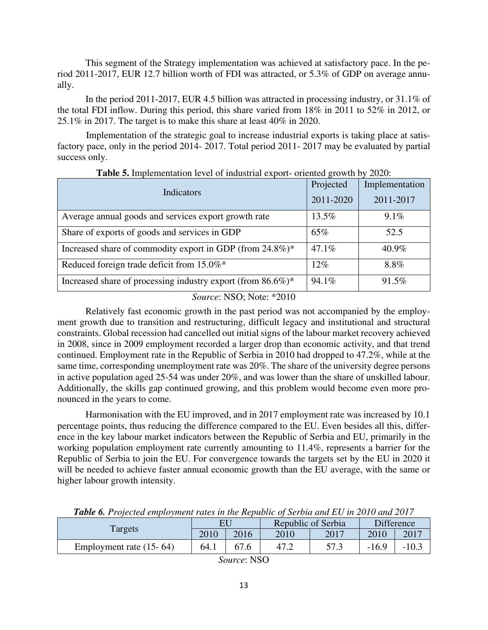This segment of the Strategy implementation was achieved at satisfactory pace. In the period 2011-2017, EUR 12.7 billion worth of FDI was attracted, or 5.3% of GDP on average annually.

In the period 2011-2017, EUR 4.5 billion was attracted in processing industry, or 31.1% of the total FDI inflow. During this period, this share varied from 18% in 2011 to 52% in 2012, or 25.1% in 2017. The target is to make this share at least 40% in 2020.

 Implementation of the strategic goal to increase industrial exports is taking place at satisfactory pace, only in the period 2014- 2017. Total period 2011- 2017 may be evaluated by partial success only.

| Indicators                                                      | Projected<br>2011-2020 | Implementation<br>2011-2017 |
|-----------------------------------------------------------------|------------------------|-----------------------------|
| Average annual goods and services export growth rate            | 13.5%                  | $9.1\%$                     |
| Share of exports of goods and services in GDP                   | 65%                    | 52.5                        |
| Increased share of commodity export in GDP (from 24.8%)*        | 47.1%                  | 40.9%                       |
| Reduced foreign trade deficit from 15.0%*                       | $12\%$                 | 8.8%                        |
| Increased share of processing industry export (from $86.6\%$ )* | 94.1%                  | 91.5%                       |

**Table 5.** Implementation level of industrial export- oriented growth by 2020:

# *Source*: NSO; Note: \*2010

Relatively fast economic growth in the past period was not accompanied by the employment growth due to transition and restructuring, difficult legacy and institutional and structural constraints. Global recession had cancelled out initial signs of the labour market recovery achieved in 2008, since in 2009 employment recorded a larger drop than economic activity, and that trend continued. Employment rate in the Republic of Serbia in 2010 had dropped to 47.2%, while at the same time, corresponding unemployment rate was 20%. The share of the university degree persons in active population aged 25-54 was under 20%, and was lower than the share of unskilled labour. Additionally, the skills gap continued growing, and this problem would become even more pronounced in the years to come.

Harmonisation with the EU improved, and in 2017 employment rate was increased by 10.1 percentage points, thus reducing the difference compared to the EU. Even besides all this, difference in the key labour market indicators between the Republic of Serbia and EU, primarily in the working population employment rate currently amounting to 11.4%, represents a barrier for the Republic of Serbia to join the EU. For convergence towards the targets set by the EU in 2020 it will be needed to achieve faster annual economic growth than the EU average, with the same or higher labour growth intensity.

|                                                        | EU   |      | Republic of Serbia |      | <b>Difference</b> |         |
|--------------------------------------------------------|------|------|--------------------|------|-------------------|---------|
| Targets                                                | 2010 | 2016 | 2010               | 2017 | 2010              | 2017    |
| Employment rate $(15-64)$                              | 64.1 |      |                    | 57.3 | $-16.9$           | $-10.3$ |
| $\overline{1}$ $\overline{1}$ $\overline{1}$<br>$\sim$ |      |      |                    |      |                   |         |

*Table 6. Projected employment rates in the Republic of Serbia and EU in 2010 and 2017*

*Source*: NSO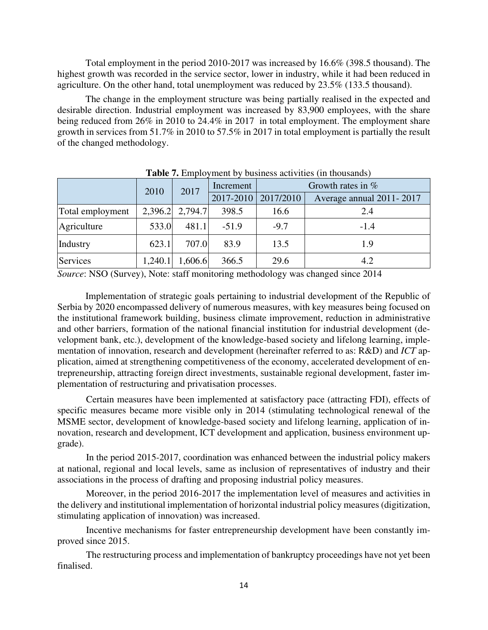Total employment in the period 2010-2017 was increased by 16.6% (398.5 thousand). The highest growth was recorded in the service sector, lower in industry, while it had been reduced in agriculture. On the other hand, total unemployment was reduced by 23.5% (133.5 thousand).

The change in the employment structure was being partially realised in the expected and desirable direction. Industrial employment was increased by 83,900 employees, with the share being reduced from 26% in 2010 to 24.4% in 2017 in total employment. The employment share growth in services from 51.7% in 2010 to 57.5% in 2017 in total employment is partially the result of the changed methodology.

|                  | 2010    | 2017            | Increment     | Growth rates in $%$ |                          |
|------------------|---------|-----------------|---------------|---------------------|--------------------------|
|                  |         |                 | $2017 - 2010$ | 2017/2010           | Average annual 2011-2017 |
| Total employment |         | 2,396.2 2,794.7 | 398.5         | 16.6                | 2.4                      |
| Agriculture      | 533.0   | 481.1           | $-51.9$       | $-9.7$              | $-1.4$                   |
| Industry         | 623.1   | 707.0           | 83.9          | 13.5                | 1.9                      |
| Services         | 1,240.1 | 1,606.6         | 366.5         | 29.6                | 4.2                      |

**Table 7.** Employment by business activities (in thousands)

*Source*: NSO (Survey), Note: staff monitoring methodology was changed since 2014

Implementation of strategic goals pertaining to industrial development of the Republic of Serbia by 2020 encompassed delivery of numerous measures, with key measures being focused on the institutional framework building, business climate improvement, reduction in administrative and other barriers, formation of the national financial institution for industrial development (development bank, etc.), development of the knowledge-based society and lifelong learning, implementation of innovation, research and development (hereinafter referred to as: R&D) and *ICT* application, aimed at strengthening competitiveness of the economy, accelerated development of entrepreneurship, attracting foreign direct investments, sustainable regional development, faster implementation of restructuring and privatisation processes.

 Certain measures have been implemented at satisfactory pace (attracting FDI), effects of specific measures became more visible only in 2014 (stimulating technological renewal of the MSME sector, development of knowledge-based society and lifelong learning, application of innovation, research and development, ICT development and application, business environment upgrade).

In the period 2015-2017, coordination was enhanced between the industrial policy makers at national, regional and local levels, same as inclusion of representatives of industry and their associations in the process of drafting and proposing industrial policy measures.

Moreover, in the period 2016-2017 the implementation level of measures and activities in the delivery and institutional implementation of horizontal industrial policy measures (digitization, stimulating application of innovation) was increased.

Incentive mechanisms for faster entrepreneurship development have been constantly improved since 2015.

The restructuring process and implementation of bankruptcy proceedings have not yet been finalised.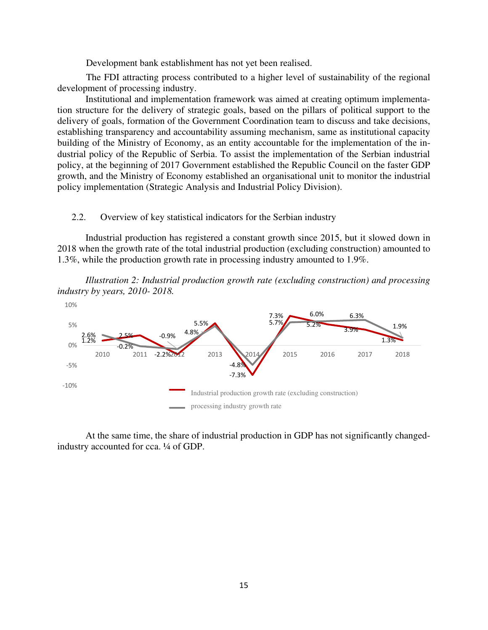Development bank establishment has not yet been realised.

The FDI attracting process contributed to a higher level of sustainability of the regional development of processing industry.

Institutional and implementation framework was aimed at creating optimum implementation structure for the delivery of strategic goals, based on the pillars of political support to the delivery of goals, formation of the Government Coordination team to discuss and take decisions, establishing transparency and accountability assuming mechanism, same as institutional capacity building of the Ministry of Economy, as an entity accountable for the implementation of the industrial policy of the Republic of Serbia. To assist the implementation of the Serbian industrial policy, at the beginning of 2017 Government established the Republic Council on the faster GDP growth, and the Ministry of Economy established an organisational unit to monitor the industrial policy implementation (Strategic Analysis and Industrial Policy Division).

#### 2.2. Overview of key statistical indicators for the Serbian industry

Industrial production has registered a constant growth since 2015, but it slowed down in 2018 when the growth rate of the total industrial production (excluding construction) amounted to 1.3%, while the production growth rate in processing industry amounted to 1.9%.

*Illustration 2: Industrial production growth rate (excluding construction) and processing industry by years, 2010- 2018.* 



At the same time, the share of industrial production in GDP has not significantly changedindustry accounted for cca. ¼ of GDP.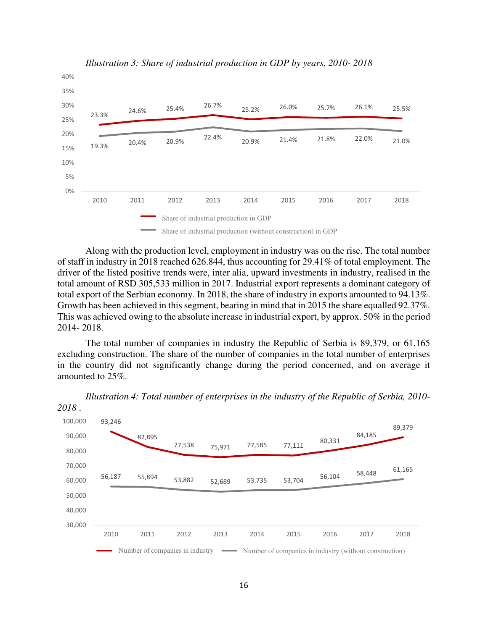

*Illustration 3: Share of industrial production in GDP by years, 2010- 2018* 

Along with the production level, employment in industry was on the rise. The total number of staff in industry in 2018 reached 626.844, thus accounting for 29.41% of total employment. The driver of the listed positive trends were, inter alia, upward investments in industry, realised in the total amount of RSD 305,533 million in 2017. Industrial export represents a dominant category of total export of the Serbian economy. In 2018, the share of industry in exports amounted to 94.13%. Growth has been achieved in this segment, bearing in mind that in 2015 the share equalled 92.37%. This was achieved owing to the absolute increase in industrial export, by approx. 50% in the period 2014- 2018.

The total number of companies in industry the Republic of Serbia is 89,379, or 61,165 excluding construction. The share of the number of companies in the total number of enterprises in the country did not significantly change during the period concerned, and on average it amounted to 25%.

93,246 82,895 77,538 75,971 77,585 77,111 80,331 84,185 89,379 56,187 55,894 53,882 52,689 53,735 53,704 56,104 58,448 61,165 30,000 40,000 50,000 60,000 70,000 80,000 90,000 100,000 2010 2011 2012 2013 2014 2015 2016 2017 2018 Number of companies in industry Number of companies in industry (without construction)

*Illustration 4: Total number of enterprises in the industry of the Republic of Serbia, 2010- 2018* .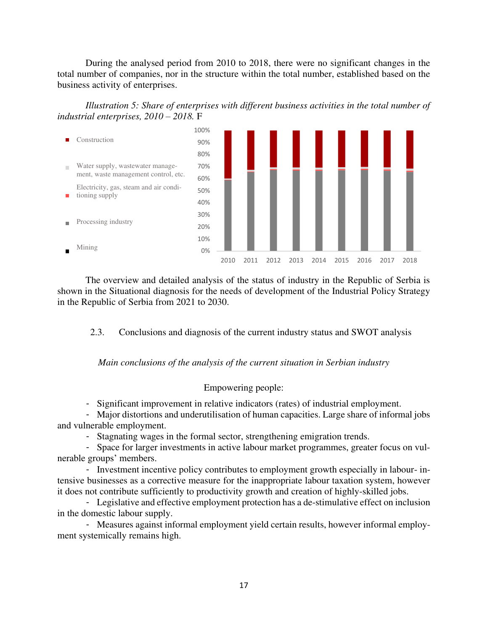During the analysed period from 2010 to 2018, there were no significant changes in the total number of companies, nor in the structure within the total number, established based on the business activity of enterprises.





The overview and detailed analysis of the status of industry in the Republic of Serbia is shown in the Situational diagnosis for the needs of development of the Industrial Policy Strategy in the Republic of Serbia from 2021 to 2030.

2.3. Conclusions and diagnosis of the current industry status and SWOT analysis

*Main conclusions of the analysis of the current situation in Serbian industry* 

# Empowering people:

- Significant improvement in relative indicators (rates) of industrial employment.

- Major distortions and underutilisation of human capacities. Large share of informal jobs and vulnerable employment.

- Stagnating wages in the formal sector, strengthening emigration trends.

- Space for larger investments in active labour market programmes, greater focus on vulnerable groups' members.

- Investment incentive policy contributes to employment growth especially in labour- intensive businesses as a corrective measure for the inappropriate labour taxation system, however it does not contribute sufficiently to productivity growth and creation of highly-skilled jobs.

- Legislative and effective employment protection has a de-stimulative effect on inclusion in the domestic labour supply.

- Measures against informal employment yield certain results, however informal employment systemically remains high.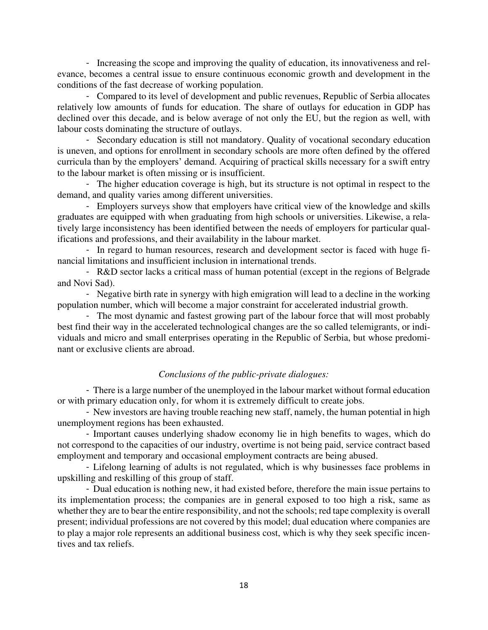- Increasing the scope and improving the quality of education, its innovativeness and relevance, becomes a central issue to ensure continuous economic growth and development in the conditions of the fast decrease of working population.

- Compared to its level of development and public revenues, Republic of Serbia allocates relatively low amounts of funds for education. The share of outlays for education in GDP has declined over this decade, and is below average of not only the EU, but the region as well, with labour costs dominating the structure of outlays.

- Secondary education is still not mandatory. Quality of vocational secondary education is uneven, and options for enrollment in secondary schools are more often defined by the offered curricula than by the employers' demand. Acquiring of practical skills necessary for a swift entry to the labour market is often missing or is insufficient.

- The higher education coverage is high, but its structure is not optimal in respect to the demand, and quality varies among different universities.

- Employers surveys show that employers have critical view of the knowledge and skills graduates are equipped with when graduating from high schools or universities. Likewise, a relatively large inconsistency has been identified between the needs of employers for particular qualifications and professions, and their availability in the labour market.

- In regard to human resources, research and development sector is faced with huge financial limitations and insufficient inclusion in international trends.

- R&D sector lacks a critical mass of human potential (except in the regions of Belgrade and Novi Sad).

- Negative birth rate in synergy with high emigration will lead to a decline in the working population number, which will become a major constraint for accelerated industrial growth.

- The most dynamic and fastest growing part of the labour force that will most probably best find their way in the accelerated technological changes are the so called telemigrants, or individuals and micro and small enterprises operating in the Republic of Serbia, but whose predominant or exclusive clients are abroad.

### *Conclusions of the public-private dialogues:*

- There is a large number of the unemployed in the labour market without formal education or with primary education only, for whom it is extremely difficult to create jobs.

- New investors are having trouble reaching new staff, namely, the human potential in high unemployment regions has been exhausted.

- Important causes underlying shadow economy lie in high benefits to wages, which do not correspond to the capacities of our industry, overtime is not being paid, service contract based employment and temporary and occasional employment contracts are being abused.

- Lifelong learning of adults is not regulated, which is why businesses face problems in upskilling and reskilling of this group of staff.

- Dual education is nothing new, it had existed before, therefore the main issue pertains to its implementation process; the companies are in general exposed to too high a risk, same as whether they are to bear the entire responsibility, and not the schools; red tape complexity is overall present; individual professions are not covered by this model; dual education where companies are to play a major role represents an additional business cost, which is why they seek specific incentives and tax reliefs.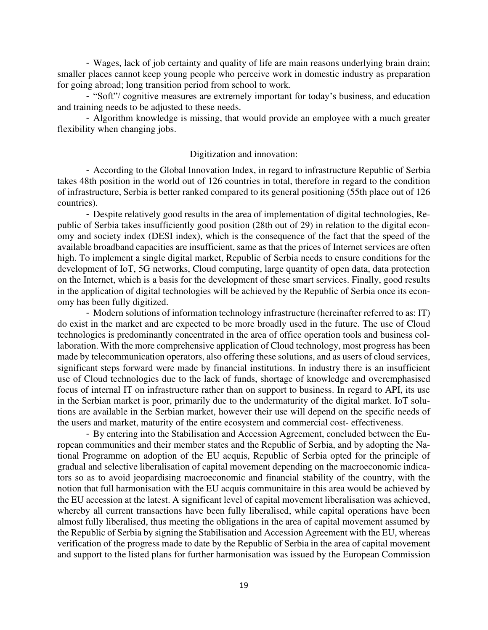- Wages, lack of job certainty and quality of life are main reasons underlying brain drain; smaller places cannot keep young people who perceive work in domestic industry as preparation for going abroad; long transition period from school to work.

- "Soft"/ cognitive measures are extremely important for today's business, and education and training needs to be adjusted to these needs.

- Algorithm knowledge is missing, that would provide an employee with a much greater flexibility when changing jobs.

# Digitization and innovation:

- According to the Global Innovation Index, in regard to infrastructure Republic of Serbia takes 48th position in the world out of 126 countries in total, therefore in regard to the condition of infrastructure, Serbia is better ranked compared to its general positioning (55th place out of 126 countries).

- Despite relatively good results in the area of implementation of digital technologies, Republic of Serbia takes insufficiently good position (28th out of 29) in relation to the digital economy and society index (DESI index), which is the consequence of the fact that the speed of the available broadband capacities are insufficient, same as that the prices of Internet services are often high. To implement a single digital market, Republic of Serbia needs to ensure conditions for the development of IoT, 5G networks, Cloud computing, large quantity of open data, data protection on the Internet, which is a basis for the development of these smart services. Finally, good results in the application of digital technologies will be achieved by the Republic of Serbia once its economy has been fully digitized.

- Modern solutions of information technology infrastructure (hereinafter referred to as: IT) do exist in the market and are expected to be more broadly used in the future. The use of Cloud technologies is predominantly concentrated in the area of office operation tools and business collaboration. With the more comprehensive application of Cloud technology, most progress has been made by telecommunication operators, also offering these solutions, and as users of cloud services, significant steps forward were made by financial institutions. In industry there is an insufficient use of Cloud technologies due to the lack of funds, shortage of knowledge and overemphasised focus of internal IT on infrastructure rather than on support to business. In regard to API, its use in the Serbian market is poor, primarily due to the undermaturity of the digital market. IoT solutions are available in the Serbian market, however their use will depend on the specific needs of the users and market, maturity of the entire ecosystem and commercial cost- effectiveness.

- By entering into the Stabilisation and Accession Agreement, concluded between the European communities and their member states and the Republic of Serbia, and by adopting the National Programme on adoption of the EU acquis, Republic of Serbia opted for the principle of gradual and selective liberalisation of capital movement depending on the macroeconomic indicators so as to avoid jeopardising macroeconomic and financial stability of the country, with the notion that full harmonisation with the EU acquis communitaire in this area would be achieved by the EU accession at the latest. A significant level of capital movement liberalisation was achieved, whereby all current transactions have been fully liberalised, while capital operations have been almost fully liberalised, thus meeting the obligations in the area of capital movement assumed by the Republic of Serbia by signing the Stabilisation and Accession Agreement with the EU, whereas verification of the progress made to date by the Republic of Serbia in the area of capital movement and support to the listed plans for further harmonisation was issued by the European Commission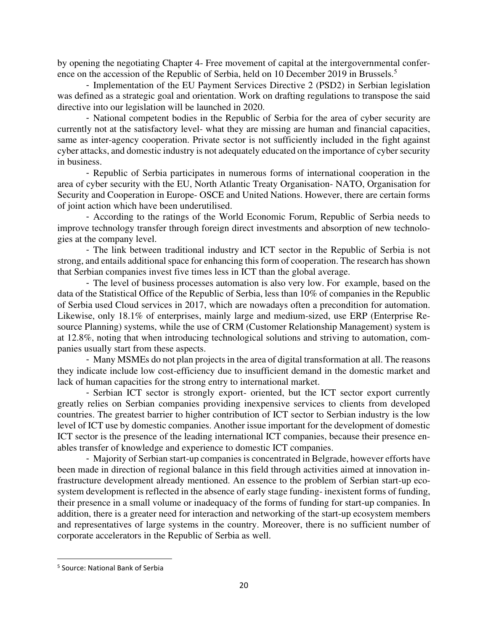by opening the negotiating Chapter 4- Free movement of capital at the intergovernmental conference on the accession of the Republic of Serbia, held on 10 December 2019 in Brussels.<sup>5</sup>

- Implementation of the EU Payment Services Directive 2 (PSD2) in Serbian legislation was defined as a strategic goal and orientation. Work on drafting regulations to transpose the said directive into our legislation will be launched in 2020.

- National competent bodies in the Republic of Serbia for the area of cyber security are currently not at the satisfactory level- what they are missing are human and financial capacities, same as inter-agency cooperation. Private sector is not sufficiently included in the fight against cyber attacks, and domestic industry is not adequately educated on the importance of cyber security in business.

- Republic of Serbia participates in numerous forms of international cooperation in the area of cyber security with the EU, North Atlantic Treaty Organisation- NATO, Organisation for Security and Cooperation in Europe- OSCE and United Nations. However, there are certain forms of joint action which have been underutilised.

- According to the ratings of the World Economic Forum, Republic of Serbia needs to improve technology transfer through foreign direct investments and absorption of new technologies at the company level.

- The link between traditional industry and ICT sector in the Republic of Serbia is not strong, and entails additional space for enhancing this form of cooperation. The research has shown that Serbian companies invest five times less in ICT than the global average.

- The level of business processes automation is also very low. For example, based on the data of the Statistical Office of the Republic of Serbia, less than 10% of companies in the Republic of Serbia used Cloud services in 2017, which are nowadays often a precondition for automation. Likewise, only 18.1% of enterprises, mainly large and medium-sized, use ERP (Enterprise Resource Planning) systems, while the use of CRM (Customer Relationship Management) system is at 12.8%, noting that when introducing technological solutions and striving to automation, companies usually start from these aspects.

- Many MSMEs do not plan projects in the area of digital transformation at all. The reasons they indicate include low cost-efficiency due to insufficient demand in the domestic market and lack of human capacities for the strong entry to international market.

- Serbian ICT sector is strongly export- oriented, but the ICT sector export currently greatly relies on Serbian companies providing inexpensive services to clients from developed countries. The greatest barrier to higher contribution of ICT sector to Serbian industry is the low level of ICT use by domestic companies. Another issue important for the development of domestic ICT sector is the presence of the leading international ICT companies, because their presence enables transfer of knowledge and experience to domestic ICT companies.

- Majority of Serbian start-up companies is concentrated in Belgrade, however efforts have been made in direction of regional balance in this field through activities aimed at innovation infrastructure development already mentioned. An essence to the problem of Serbian start-up ecosystem development is reflected in the absence of early stage funding- inexistent forms of funding, their presence in a small volume or inadequacy of the forms of funding for start-up companies. In addition, there is a greater need for interaction and networking of the start-up ecosystem members and representatives of large systems in the country. Moreover, there is no sufficient number of corporate accelerators in the Republic of Serbia as well.

<sup>5</sup> Source: National Bank of Serbia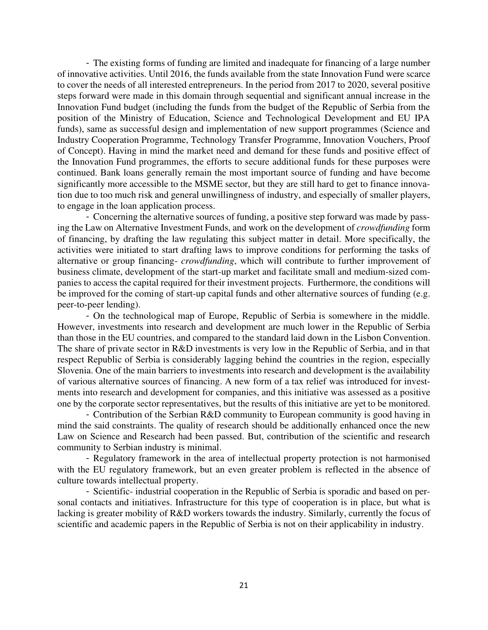- The existing forms of funding are limited and inadequate for financing of a large number of innovative activities. Until 2016, the funds available from the state Innovation Fund were scarce to cover the needs of all interested entrepreneurs. In the period from 2017 to 2020, several positive steps forward were made in this domain through sequential and significant annual increase in the Innovation Fund budget (including the funds from the budget of the Republic of Serbia from the position of the Ministry of Education, Science and Technological Development and EU IPA funds), same as successful design and implementation of new support programmes (Science and Industry Cooperation Programme, Technology Transfer Programme, Innovation Vouchers, Proof of Concept). Having in mind the market need and demand for these funds and positive effect of the Innovation Fund programmes, the efforts to secure additional funds for these purposes were continued. Bank loans generally remain the most important source of funding and have become significantly more accessible to the MSME sector, but they are still hard to get to finance innovation due to too much risk and general unwillingness of industry, and especially of smaller players, to engage in the loan application process.

- Concerning the alternative sources of funding, a positive step forward was made by passing the Law on Alternative Investment Funds, and work on the development of *crowdfunding* form of financing, by drafting the law regulating this subject matter in detail. More specifically, the activities were initiated to start drafting laws to improve conditions for performing the tasks of alternative or group financing- *crowdfunding*, which will contribute to further improvement of business climate, development of the start-up market and facilitate small and medium-sized companies to access the capital required for their investment projects. Furthermore, the conditions will be improved for the coming of start-up capital funds and other alternative sources of funding (e.g. peer-to-peer lending).

- On the technological map of Europe, Republic of Serbia is somewhere in the middle. However, investments into research and development are much lower in the Republic of Serbia than those in the EU countries, and compared to the standard laid down in the Lisbon Convention. The share of private sector in R&D investments is very low in the Republic of Serbia, and in that respect Republic of Serbia is considerably lagging behind the countries in the region, especially Slovenia. One of the main barriers to investments into research and development is the availability of various alternative sources of financing. A new form of a tax relief was introduced for investments into research and development for companies, and this initiative was assessed as a positive one by the corporate sector representatives, but the results of this initiative are yet to be monitored.

- Contribution of the Serbian R&D community to European community is good having in mind the said constraints. The quality of research should be additionally enhanced once the new Law on Science and Research had been passed. But, contribution of the scientific and research community to Serbian industry is minimal.

- Regulatory framework in the area of intellectual property protection is not harmonised with the EU regulatory framework, but an even greater problem is reflected in the absence of culture towards intellectual property.

- Scientific- industrial cooperation in the Republic of Serbia is sporadic and based on personal contacts and initiatives. Infrastructure for this type of cooperation is in place, but what is lacking is greater mobility of R&D workers towards the industry. Similarly, currently the focus of scientific and academic papers in the Republic of Serbia is not on their applicability in industry.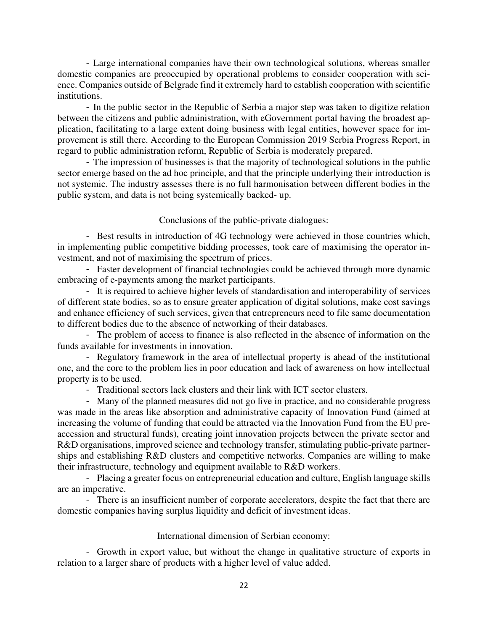- Large international companies have their own technological solutions, whereas smaller domestic companies are preoccupied by operational problems to consider cooperation with science. Companies outside of Belgrade find it extremely hard to establish cooperation with scientific institutions.

- In the public sector in the Republic of Serbia a major step was taken to digitize relation between the citizens and public administration, with eGovernment portal having the broadest application, facilitating to a large extent doing business with legal entities, however space for improvement is still there. According to the European Commission 2019 Serbia Progress Report, in regard to public administration reform, Republic of Serbia is moderately prepared.

- The impression of businesses is that the majority of technological solutions in the public sector emerge based on the ad hoc principle, and that the principle underlying their introduction is not systemic. The industry assesses there is no full harmonisation between different bodies in the public system, and data is not being systemically backed- up.

#### Conclusions of the public-private dialogues:

- Best results in introduction of 4G technology were achieved in those countries which, in implementing public competitive bidding processes, took care of maximising the operator investment, and not of maximising the spectrum of prices.

- Faster development of financial technologies could be achieved through more dynamic embracing of e-payments among the market participants.

- It is required to achieve higher levels of standardisation and interoperability of services of different state bodies, so as to ensure greater application of digital solutions, make cost savings and enhance efficiency of such services, given that entrepreneurs need to file same documentation to different bodies due to the absence of networking of their databases.

- The problem of access to finance is also reflected in the absence of information on the funds available for investments in innovation.

- Regulatory framework in the area of intellectual property is ahead of the institutional one, and the core to the problem lies in poor education and lack of awareness on how intellectual property is to be used.

- Traditional sectors lack clusters and their link with ICT sector clusters.

- Many of the planned measures did not go live in practice, and no considerable progress was made in the areas like absorption and administrative capacity of Innovation Fund (aimed at increasing the volume of funding that could be attracted via the Innovation Fund from the EU preaccession and structural funds), creating joint innovation projects between the private sector and R&D organisations, improved science and technology transfer, stimulating public-private partnerships and establishing R&D clusters and competitive networks. Companies are willing to make their infrastructure, technology and equipment available to R&D workers.

- Placing a greater focus on entrepreneurial education and culture, English language skills are an imperative.

- There is an insufficient number of corporate accelerators, despite the fact that there are domestic companies having surplus liquidity and deficit of investment ideas.

#### International dimension of Serbian economy:

- Growth in export value, but without the change in qualitative structure of exports in relation to a larger share of products with a higher level of value added.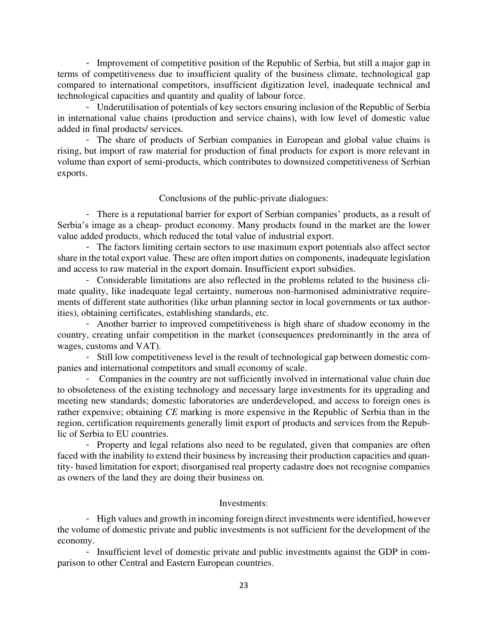- Improvement of competitive position of the Republic of Serbia, but still a major gap in terms of competitiveness due to insufficient quality of the business climate, technological gap compared to international competitors, insufficient digitization level, inadequate technical and technological capacities and quantity and quality of labour force.

- Underutilisation of potentials of key sectors ensuring inclusion of the Republic of Serbia in international value chains (production and service chains), with low level of domestic value added in final products/ services.

- The share of products of Serbian companies in European and global value chains is rising, but import of raw material for production of final products for export is more relevant in volume than export of semi-products, which contributes to downsized competitiveness of Serbian exports.

#### Conclusions of the public-private dialogues:

- There is a reputational barrier for export of Serbian companies' products, as a result of Serbia's image as a cheap- product economy. Many products found in the market are the lower value added products, which reduced the total value of industrial export.

- The factors limiting certain sectors to use maximum export potentials also affect sector share in the total export value. These are often import duties on components, inadequate legislation and access to raw material in the export domain. Insufficient export subsidies.

- Considerable limitations are also reflected in the problems related to the business climate quality, like inadequate legal certainty, numerous non-harmonised administrative requirements of different state authorities (like urban planning sector in local governments or tax authorities), obtaining certificates, establishing standards, etc.

- Another barrier to improved competitiveness is high share of shadow economy in the country, creating unfair competition in the market (consequences predominantly in the area of wages, customs and VAT).

- Still low competitiveness level is the result of technological gap between domestic companies and international competitors and small economy of scale.

- Companies in the country are not sufficiently involved in international value chain due to obsoleteness of the existing technology and necessary large investments for its upgrading and meeting new standards; domestic laboratories are underdeveloped, and access to foreign ones is rather expensive; obtaining *CE* marking is more expensive in the Republic of Serbia than in the region, certification requirements generally limit export of products and services from the Republic of Serbia to EU countries.

- Property and legal relations also need to be regulated, given that companies are often faced with the inability to extend their business by increasing their production capacities and quantity- based limitation for export; disorganised real property cadastre does not recognise companies as owners of the land they are doing their business on.

#### Investments:

- High values and growth in incoming foreign direct investments were identified, however the volume of domestic private and public investments is not sufficient for the development of the economy.

- Insufficient level of domestic private and public investments against the GDP in comparison to other Central and Eastern European countries.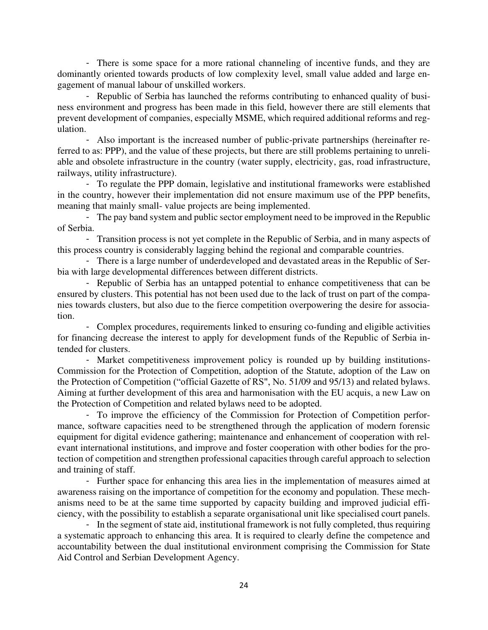- There is some space for a more rational channeling of incentive funds, and they are dominantly oriented towards products of low complexity level, small value added and large engagement of manual labour of unskilled workers.

- Republic of Serbia has launched the reforms contributing to enhanced quality of business environment and progress has been made in this field, however there are still elements that prevent development of companies, especially MSME, which required additional reforms and regulation.

- Also important is the increased number of public-private partnerships (hereinafter referred to as: PPP), and the value of these projects, but there are still problems pertaining to unreliable and obsolete infrastructure in the country (water supply, electricity, gas, road infrastructure, railways, utility infrastructure).

- To regulate the PPP domain, legislative and institutional frameworks were established in the country, however their implementation did not ensure maximum use of the PPP benefits, meaning that mainly small- value projects are being implemented.

- The pay band system and public sector employment need to be improved in the Republic of Serbia.

- Transition process is not yet complete in the Republic of Serbia, and in many aspects of this process country is considerably lagging behind the regional and comparable countries.

- There is a large number of underdeveloped and devastated areas in the Republic of Serbia with large developmental differences between different districts.

- Republic of Serbia has an untapped potential to enhance competitiveness that can be ensured by clusters. This potential has not been used due to the lack of trust on part of the companies towards clusters, but also due to the fierce competition overpowering the desire for association.

- Complex procedures, requirements linked to ensuring co-funding and eligible activities for financing decrease the interest to apply for development funds of the Republic of Serbia intended for clusters.

- Market competitiveness improvement policy is rounded up by building institutions-Commission for the Protection of Competition, adoption of the Statute, adoption of the Law on the Protection of Competition ("official Gazette of RS", No. [51/09](http://we2.cekos.com/ce/index.xhtml?&action=propis&file=06760901.html&path=06760901.html&queries=&mark=false&searchType=1®ulationType=1&domain=0&myFavorites=true&dateFrom=&dateTo=&groups=-@--@--@--@--@-®ExpToMark=) and [95/13\)](http://we2.cekos.com/ce/index.xhtml?&action=propis&file=09810301.html&path=09810301.html&queries=&mark=false&searchType=1®ulationType=1&domain=0&myFavorites=true&dateFrom=&dateTo=&groups=-@--@--@--@--@-®ExpToMark=) and related bylaws. Aiming at further development of this area and harmonisation with the EU acquis, a new Law on the Protection of Competition and related bylaws need to be adopted.

- To improve the efficiency of the Commission for Protection of Competition performance, software capacities need to be strengthened through the application of modern forensic equipment for digital evidence gathering; maintenance and enhancement of cooperation with relevant international institutions, and improve and foster cooperation with other bodies for the protection of competition and strengthen professional capacities through careful approach to selection and training of staff.

- Further space for enhancing this area lies in the implementation of measures aimed at awareness raising on the importance of competition for the economy and population. These mechanisms need to be at the same time supported by capacity building and improved judicial efficiency, with the possibility to establish a separate organisational unit like specialised court panels.

- In the segment of state aid, institutional framework is not fully completed, thus requiring a systematic approach to enhancing this area. It is required to clearly define the competence and accountability between the dual institutional environment comprising the Commission for State Aid Control and Serbian Development Agency.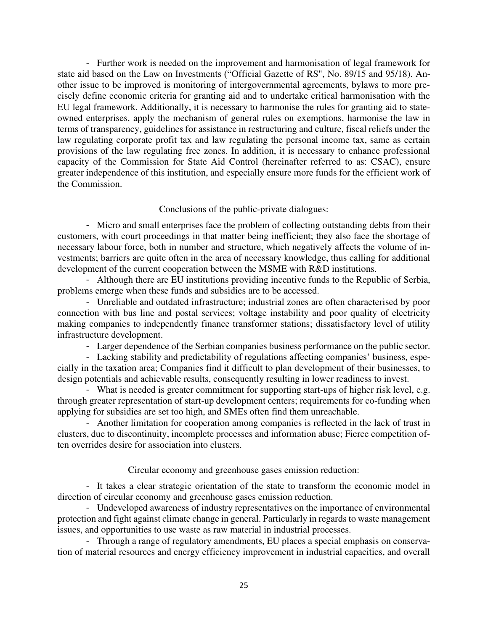- Further work is needed on the improvement and harmonisation of legal framework for state aid based on the Law on Investments ("Official Gazette of RS", No. [89/15](http://we2.cekos.com/ce/index.xhtml?&action=propis&file=11408101.html&path=11408101.html&queries=zakon+o+spoljnotrgovinskom&mark=false&searchType=1®ulationType=1&domain=0&myFavorites=false&dateFrom=&dateTo=&groups=0-@-0-@--@--@-0-@-0®ExpToMark=) and [95/18\)](http://we2.cekos.com/ce/index.xhtml?&action=propis&file=13903701.html&path=13903701.html&queries=zakon+o+spoljnotrgovinskom&mark=false&searchType=1®ulationType=1&domain=0&myFavorites=false&dateFrom=&dateTo=&groups=0-@-0-@--@--@-0-@-0®ExpToMark=). Another issue to be improved is monitoring of intergovernmental agreements, bylaws to more precisely define economic criteria for granting aid and to undertake critical harmonisation with the EU legal framework. Additionally, it is necessary to harmonise the rules for granting aid to stateowned enterprises, apply the mechanism of general rules on exemptions, harmonise the law in terms of transparency, guidelines for assistance in restructuring and culture, fiscal reliefs under the law regulating corporate profit tax and law regulating the personal income tax, same as certain provisions of the law regulating free zones. In addition, it is necessary to enhance professional capacity of the Commission for State Aid Control (hereinafter referred to as: CSAC), ensure greater independence of this institution, and especially ensure more funds for the efficient work of the Commission.

## Conclusions of the public-private dialogues:

- Micro and small enterprises face the problem of collecting outstanding debts from their customers, with court proceedings in that matter being inefficient; they also face the shortage of necessary labour force, both in number and structure, which negatively affects the volume of investments; barriers are quite often in the area of necessary knowledge, thus calling for additional development of the current cooperation between the MSME with R&D institutions.

- Although there are EU institutions providing incentive funds to the Republic of Serbia, problems emerge when these funds and subsidies are to be accessed.

- Unreliable and outdated infrastructure; industrial zones are often characterised by poor connection with bus line and postal services; voltage instability and poor quality of electricity making companies to independently finance transformer stations; dissatisfactory level of utility infrastructure development.

- Larger dependence of the Serbian companies business performance on the public sector.

- Lacking stability and predictability of regulations affecting companies' business, especially in the taxation area; Companies find it difficult to plan development of their businesses, to design potentials and achievable results, consequently resulting in lower readiness to invest.

- What is needed is greater commitment for supporting start-ups of higher risk level, e.g. through greater representation of start-up development centers; requirements for co-funding when applying for subsidies are set too high, and SMEs often find them unreachable.

- Another limitation for cooperation among companies is reflected in the lack of trust in clusters, due to discontinuity, incomplete processes and information abuse; Fierce competition often overrides desire for association into clusters.

Circular economy and greenhouse gases emission reduction:

- It takes a clear strategic orientation of the state to transform the economic model in direction of circular economy and greenhouse gases emission reduction.

- Undeveloped awareness of industry representatives on the importance of environmental protection and fight against climate change in general. Particularly in regards to waste management issues, and opportunities to use waste as raw material in industrial processes.

- Through a range of regulatory amendments, EU places a special emphasis on conservation of material resources and energy efficiency improvement in industrial capacities, and overall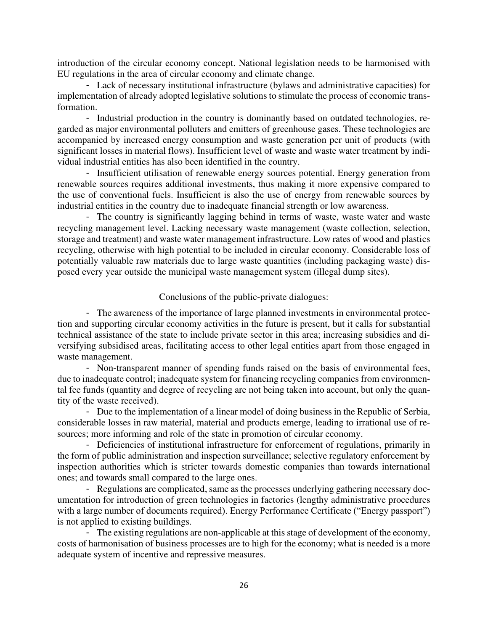introduction of the circular economy concept. National legislation needs to be harmonised with EU regulations in the area of circular economy and climate change.

- Lack of necessary institutional infrastructure (bylaws and administrative capacities) for implementation of already adopted legislative solutions to stimulate the process of economic transformation.

- Industrial production in the country is dominantly based on outdated technologies, regarded as major environmental polluters and emitters of greenhouse gases. These technologies are accompanied by increased energy consumption and waste generation per unit of products (with significant losses in material flows). Insufficient level of waste and waste water treatment by individual industrial entities has also been identified in the country.

- Insufficient utilisation of renewable energy sources potential. Energy generation from renewable sources requires additional investments, thus making it more expensive compared to the use of conventional fuels. Insufficient is also the use of energy from renewable sources by industrial entities in the country due to inadequate financial strength or low awareness.

- The country is significantly lagging behind in terms of waste, waste water and waste recycling management level. Lacking necessary waste management (waste collection, selection, storage and treatment) and waste water management infrastructure. Low rates of wood and plastics recycling, otherwise with high potential to be included in circular economy. Considerable loss of potentially valuable raw materials due to large waste quantities (including packaging waste) disposed every year outside the municipal waste management system (illegal dump sites).

## Conclusions of the public-private dialogues:

- The awareness of the importance of large planned investments in environmental protection and supporting circular economy activities in the future is present, but it calls for substantial technical assistance of the state to include private sector in this area; increasing subsidies and diversifying subsidised areas, facilitating access to other legal entities apart from those engaged in waste management.

- Non-transparent manner of spending funds raised on the basis of environmental fees, due to inadequate control; inadequate system for financing recycling companies from environmental fee funds (quantity and degree of recycling are not being taken into account, but only the quantity of the waste received).

- Due to the implementation of a linear model of doing business in the Republic of Serbia, considerable losses in raw material, material and products emerge, leading to irrational use of resources; more informing and role of the state in promotion of circular economy.

- Deficiencies of institutional infrastructure for enforcement of regulations, primarily in the form of public administration and inspection surveillance; selective regulatory enforcement by inspection authorities which is stricter towards domestic companies than towards international ones; and towards small compared to the large ones.

- Regulations are complicated, same as the processes underlying gathering necessary documentation for introduction of green technologies in factories (lengthy administrative procedures with a large number of documents required). Energy Performance Certificate ("Energy passport") is not applied to existing buildings.

- The existing regulations are non-applicable at this stage of development of the economy, costs of harmonisation of business processes are to high for the economy; what is needed is a more adequate system of incentive and repressive measures.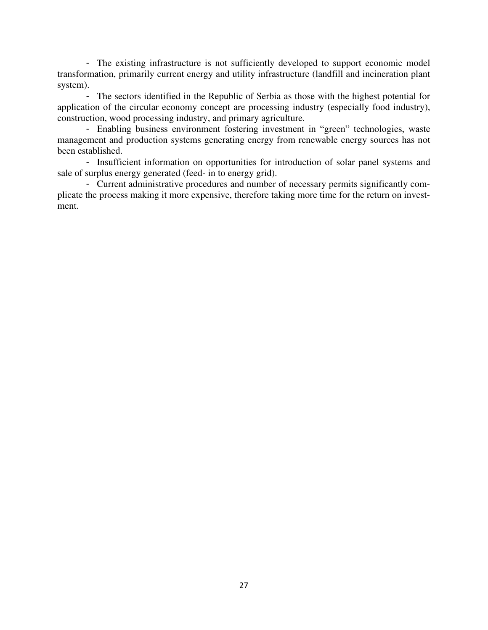- The existing infrastructure is not sufficiently developed to support economic model transformation, primarily current energy and utility infrastructure (landfill and incineration plant system).

- The sectors identified in the Republic of Serbia as those with the highest potential for application of the circular economy concept are processing industry (especially food industry), construction, wood processing industry, and primary agriculture.

- Enabling business environment fostering investment in "green" technologies, waste management and production systems generating energy from renewable energy sources has not been established.

- Insufficient information on opportunities for introduction of solar panel systems and sale of surplus energy generated (feed- in to energy grid).

- Current administrative procedures and number of necessary permits significantly complicate the process making it more expensive, therefore taking more time for the return on investment.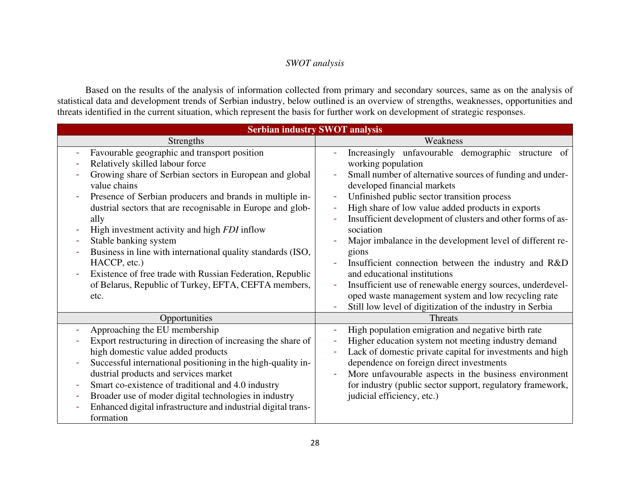# *SWOT analysis*

Based on the results of the analysis of information collected from primary and secondary sources, same as on the analysis of statistical data and development trends of Serbian industry, below outlined is an overview of strengths, weaknesses, opportunities and threats identified in the current situation, which represent the basis for further work on development of strategic responses.

| <b>Serbian industry SWOT analysis</b>                         |                                                             |  |  |  |
|---------------------------------------------------------------|-------------------------------------------------------------|--|--|--|
| Strengths                                                     | Weakness                                                    |  |  |  |
| Favourable geographic and transport position                  | Increasingly unfavourable demographic structure of          |  |  |  |
| Relatively skilled labour force                               | working population                                          |  |  |  |
| Growing share of Serbian sectors in European and global       | Small number of alternative sources of funding and under-   |  |  |  |
| value chains                                                  | developed financial markets                                 |  |  |  |
| Presence of Serbian producers and brands in multiple in-      | Unfinished public sector transition process                 |  |  |  |
| dustrial sectors that are recognisable in Europe and glob-    | High share of low value added products in exports           |  |  |  |
| ally                                                          | Insufficient development of clusters and other forms of as- |  |  |  |
| High investment activity and high <i>FDI</i> inflow           | sociation                                                   |  |  |  |
| Stable banking system                                         | Major imbalance in the development level of different re-   |  |  |  |
| Business in line with international quality standards (ISO,   | gions                                                       |  |  |  |
| HACCP, etc.)                                                  | Insufficient connection between the industry and R&D        |  |  |  |
| Existence of free trade with Russian Federation, Republic     | and educational institutions                                |  |  |  |
| of Belarus, Republic of Turkey, EFTA, CEFTA members,          | Insufficient use of renewable energy sources, underdevel-   |  |  |  |
| etc.                                                          | oped waste management system and low recycling rate         |  |  |  |
|                                                               | Still low level of digitization of the industry in Serbia   |  |  |  |
| Opportunities                                                 | <b>Threats</b>                                              |  |  |  |
| Approaching the EU membership                                 | High population emigration and negative birth rate          |  |  |  |
| Export restructuring in direction of increasing the share of  | Higher education system not meeting industry demand         |  |  |  |
| high domestic value added products                            | Lack of domestic private capital for investments and high   |  |  |  |
| Successful international positioning in the high-quality in-  | dependence on foreign direct investments                    |  |  |  |
| dustrial products and services market                         | More unfavourable aspects in the business environment       |  |  |  |
| Smart co-existence of traditional and 4.0 industry            | for industry (public sector support, regulatory framework,  |  |  |  |
| Broader use of moder digital technologies in industry         | judicial efficiency, etc.)                                  |  |  |  |
| Enhanced digital infrastructure and industrial digital trans- |                                                             |  |  |  |
| formation                                                     |                                                             |  |  |  |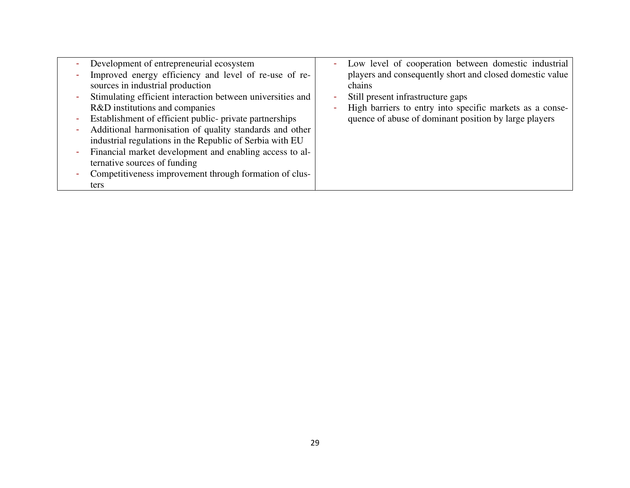|   | Development of entrepreneurial ecosystem                   | Low level of cooperation between domestic industrial     |
|---|------------------------------------------------------------|----------------------------------------------------------|
|   | Improved energy efficiency and level of re-use of re-      | players and consequently short and closed domestic value |
|   | sources in industrial production                           | chains                                                   |
|   | Stimulating efficient interaction between universities and | Still present infrastructure gaps                        |
|   | R&D institutions and companies                             | High barriers to entry into specific markets as a conse- |
| ٠ | Establishment of efficient public- private partnerships    | quence of abuse of dominant position by large players    |
|   | Additional harmonisation of quality standards and other    |                                                          |
|   | industrial regulations in the Republic of Serbia with EU   |                                                          |
|   | Financial market development and enabling access to al-    |                                                          |
|   | ternative sources of funding                               |                                                          |
|   | Competitiveness improvement through formation of clus-     |                                                          |
|   | ters                                                       |                                                          |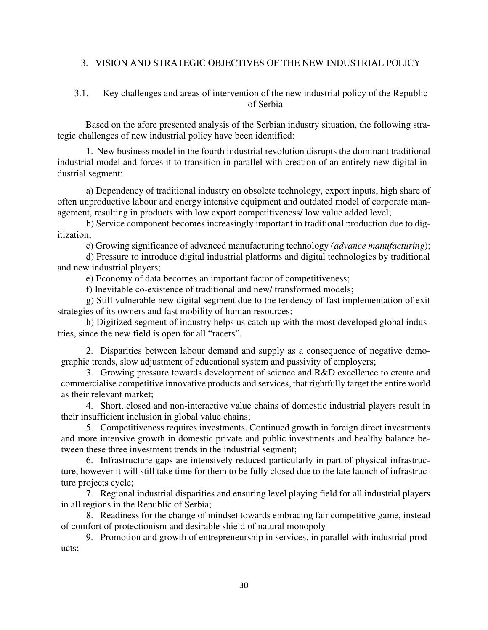# 3. VISION AND STRATEGIC OBJECTIVES OF THE NEW INDUSTRIAL POLICY

# 3.1. Key challenges and areas of intervention of the new industrial policy of the Republic of Serbia

Based on the afore presented analysis of the Serbian industry situation, the following strategic challenges of new industrial policy have been identified:

1. New business model in the fourth industrial revolution disrupts the dominant traditional industrial model and forces it to transition in parallel with creation of an entirely new digital industrial segment:

a) Dependency of traditional industry on obsolete technology, export inputs, high share of often unproductive labour and energy intensive equipment and outdated model of corporate management, resulting in products with low export competitiveness/ low value added level;

b) Service component becomes increasingly important in traditional production due to digitization;

c) Growing significance of advanced manufacturing technology (*advance manufacturing*);

d) Pressure to introduce digital industrial platforms and digital technologies by traditional and new industrial players;

e) Economy of data becomes an important factor of competitiveness;

f) Inevitable co-existence of traditional and new/ transformed models;

g) Still vulnerable new digital segment due to the tendency of fast implementation of exit strategies of its owners and fast mobility of human resources;

h) Digitized segment of industry helps us catch up with the most developed global industries, since the new field is open for all "racers".

2. Disparities between labour demand and supply as a consequence of negative demographic trends, slow adjustment of educational system and passivity of employers;

3. Growing pressure towards development of science and R&D excellence to create and commercialise competitive innovative products and services, that rightfully target the entire world as their relevant market;

4. Short, closed and non-interactive value chains of domestic industrial players result in their insufficient inclusion in global value chains;

5. Competitiveness requires investments. Continued growth in foreign direct investments and more intensive growth in domestic private and public investments and healthy balance between these three investment trends in the industrial segment;

6. Infrastructure gaps are intensively reduced particularly in part of physical infrastructure, however it will still take time for them to be fully closed due to the late launch of infrastructure projects cycle;

7. Regional industrial disparities and ensuring level playing field for all industrial players in all regions in the Republic of Serbia;

8. Readiness for the change of mindset towards embracing fair competitive game, instead of comfort of protectionism and desirable shield of natural monopoly

9. Promotion and growth of entrepreneurship in services, in parallel with industrial products;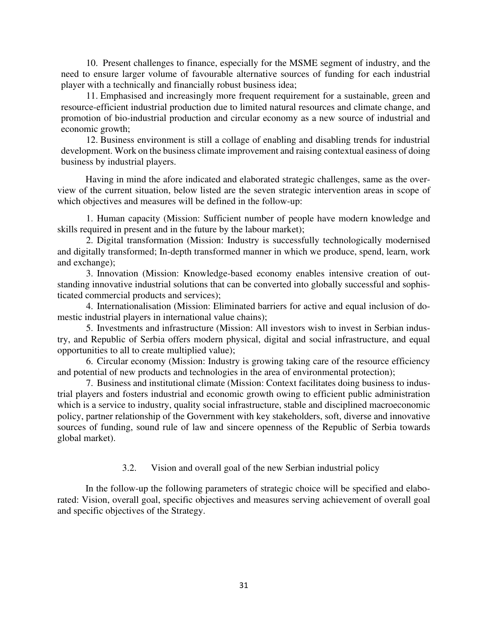10. Present challenges to finance, especially for the MSME segment of industry, and the need to ensure larger volume of favourable alternative sources of funding for each industrial player with a technically and financially robust business idea;

11. Emphasised and increasingly more frequent requirement for a sustainable, green and resource-efficient industrial production due to limited natural resources and climate change, and promotion of bio-industrial production and circular economy as a new source of industrial and economic growth;

12. Business environment is still a collage of enabling and disabling trends for industrial development. Work on the business climate improvement and raising contextual easiness of doing business by industrial players.

Having in mind the afore indicated and elaborated strategic challenges, same as the overview of the current situation, below listed are the seven strategic intervention areas in scope of which objectives and measures will be defined in the follow-up:

1. Human capacity (Mission: Sufficient number of people have modern knowledge and skills required in present and in the future by the labour market);

2. Digital transformation (Mission: Industry is successfully technologically modernised and digitally transformed; In-depth transformed manner in which we produce, spend, learn, work and exchange);

3. Innovation (Mission: Knowledge-based economy enables intensive creation of outstanding innovative industrial solutions that can be converted into globally successful and sophisticated commercial products and services);

4. Internationalisation (Mission: Eliminated barriers for active and equal inclusion of domestic industrial players in international value chains);

5. Investments and infrastructure (Mission: All investors wish to invest in Serbian industry, and Republic of Serbia offers modern physical, digital and social infrastructure, and equal opportunities to all to create multiplied value);

6. Circular economy (Mission: Industry is growing taking care of the resource efficiency and potential of new products and technologies in the area of environmental protection);

7. Business and institutional climate (Mission: Context facilitates doing business to industrial players and fosters industrial and economic growth owing to efficient public administration which is a service to industry, quality social infrastructure, stable and disciplined macroeconomic policy, partner relationship of the Government with key stakeholders, soft, diverse and innovative sources of funding, sound rule of law and sincere openness of the Republic of Serbia towards global market).

## 3.2. Vision and overall goal of the new Serbian industrial policy

In the follow-up the following parameters of strategic choice will be specified and elaborated: Vision, overall goal, specific objectives and measures serving achievement of overall goal and specific objectives of the Strategy.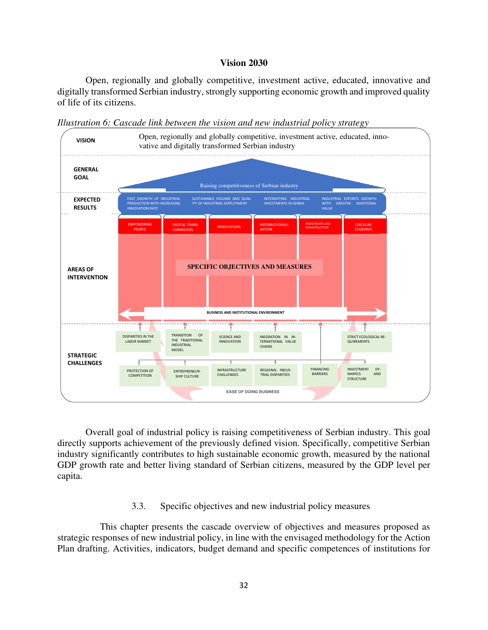#### **Vision 2030**

Open, regionally and globally competitive, investment active, educated, innovative and digitally transformed Serbian industry, strongly supporting economic growth and improved quality of life of its citizens.



*Illustration 6: Cascade link between the vision and new industrial policy strategy* 

Overall goal of industrial policy is raising competitiveness of Serbian industry. This goal directly supports achievement of the previously defined vision. Specifically, competitive Serbian industry significantly contributes to high sustainable economic growth, measured by the national GDP growth rate and better living standard of Serbian citizens, measured by the GDP level per capita.

#### 3.3. Specific objectives and new industrial policy measures

This chapter presents the cascade overview of objectives and measures proposed as strategic responses of new industrial policy, in line with the envisaged methodology for the Action Plan drafting. Activities, indicators, budget demand and specific competences of institutions for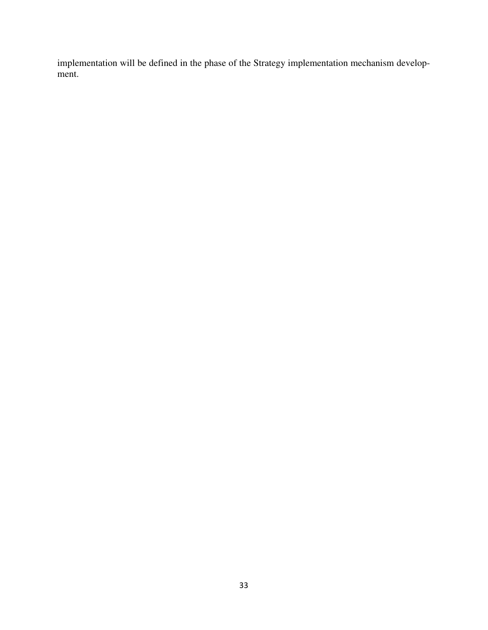implementation will be defined in the phase of the Strategy implementation mechanism development.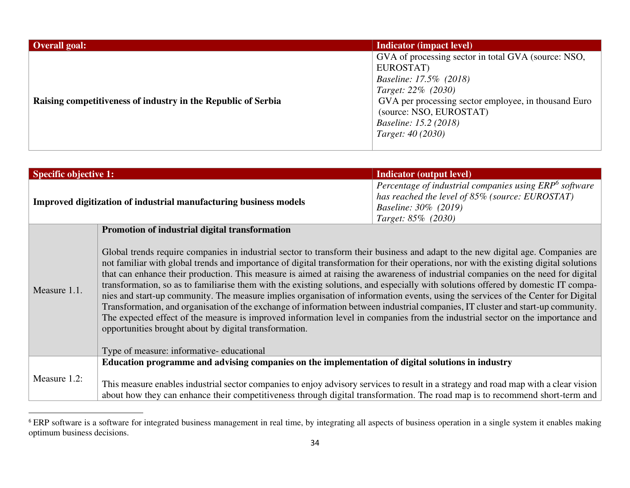| Overall goal:                                                 | <b>Indicator (impact level)</b>                                                                                                                                                                                                                                  |
|---------------------------------------------------------------|------------------------------------------------------------------------------------------------------------------------------------------------------------------------------------------------------------------------------------------------------------------|
| Raising competitiveness of industry in the Republic of Serbia | GVA of processing sector in total GVA (source: NSO,<br>EUROSTAT)<br>Baseline: 17.5% (2018)<br>Target: 22\% (2030)<br>GVA per processing sector employee, in thousand Euro<br>(source: NSO, EUROSTAT)<br><i>Baseline: 15.2 (2018)</i><br><i>Target: 40 (2030)</i> |

| <b>Specific objective 1:</b> |                                                                                                                                                                                                                                                                                                                                                                                                                                                                                                                                                                                                                                                                                                                                                                                                                                                                                                                                                                                                                                                                        | <b>Indicator (output level)</b>                                                                                                                                     |
|------------------------------|------------------------------------------------------------------------------------------------------------------------------------------------------------------------------------------------------------------------------------------------------------------------------------------------------------------------------------------------------------------------------------------------------------------------------------------------------------------------------------------------------------------------------------------------------------------------------------------------------------------------------------------------------------------------------------------------------------------------------------------------------------------------------------------------------------------------------------------------------------------------------------------------------------------------------------------------------------------------------------------------------------------------------------------------------------------------|---------------------------------------------------------------------------------------------------------------------------------------------------------------------|
|                              | Improved digitization of industrial manufacturing business models                                                                                                                                                                                                                                                                                                                                                                                                                                                                                                                                                                                                                                                                                                                                                                                                                                                                                                                                                                                                      | Percentage of industrial companies using ERP <sup>6</sup> software<br>has reached the level of 85% (source: EUROSTAT)<br>Baseline: 30% (2019)<br>Target: 85% (2030) |
|                              | Promotion of industrial digital transformation                                                                                                                                                                                                                                                                                                                                                                                                                                                                                                                                                                                                                                                                                                                                                                                                                                                                                                                                                                                                                         |                                                                                                                                                                     |
| Measure 1.1.                 | Global trends require companies in industrial sector to transform their business and adapt to the new digital age. Companies are<br>not familiar with global trends and importance of digital transformation for their operations, nor with the existing digital solutions<br>that can enhance their production. This measure is aimed at raising the awareness of industrial companies on the need for digital<br>transformation, so as to familiarise them with the existing solutions, and especially with solutions offered by domestic IT compa-<br>nies and start-up community. The measure implies organisation of information events, using the services of the Center for Digital<br>Transformation, and organisation of the exchange of information between industrial companies, IT cluster and start-up community.<br>The expected effect of the measure is improved information level in companies from the industrial sector on the importance and<br>opportunities brought about by digital transformation.<br>Type of measure: informative-educational |                                                                                                                                                                     |
|                              | Education programme and advising companies on the implementation of digital solutions in industry                                                                                                                                                                                                                                                                                                                                                                                                                                                                                                                                                                                                                                                                                                                                                                                                                                                                                                                                                                      |                                                                                                                                                                     |
| Measure 1.2:                 | This measure enables industrial sector companies to enjoy advisory services to result in a strategy and road map with a clear vision<br>about how they can enhance their competitiveness through digital transformation. The road map is to recommend short-term and                                                                                                                                                                                                                                                                                                                                                                                                                                                                                                                                                                                                                                                                                                                                                                                                   |                                                                                                                                                                     |

<sup>&</sup>lt;sup>6</sup> ERP software is a software for integrated business management in real time, by integrating all aspects of business operation in a single system it enables making optimum business decisions.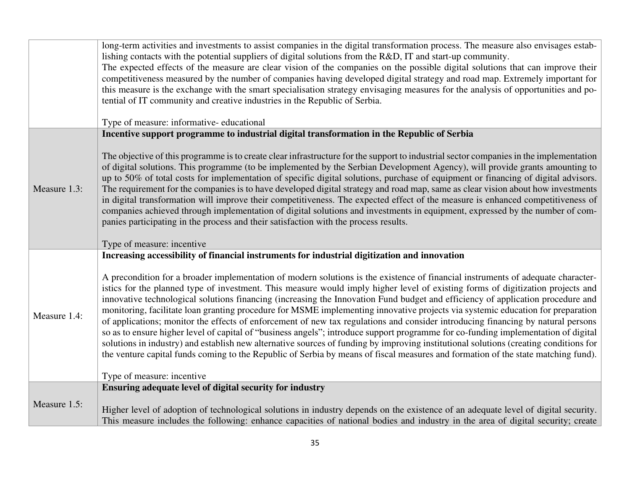|              | long-term activities and investments to assist companies in the digital transformation process. The measure also envisages estab-<br>lishing contacts with the potential suppliers of digital solutions from the R&D, IT and start-up community.<br>The expected effects of the measure are clear vision of the companies on the possible digital solutions that can improve their<br>competitiveness measured by the number of companies having developed digital strategy and road map. Extremely important for<br>this measure is the exchange with the smart specialisation strategy envisaging measures for the analysis of opportunities and po-<br>tential of IT community and creative industries in the Republic of Serbia.<br>Type of measure: informative-educational                                                                                                                                                                                                                                                                                                                  |  |  |
|--------------|---------------------------------------------------------------------------------------------------------------------------------------------------------------------------------------------------------------------------------------------------------------------------------------------------------------------------------------------------------------------------------------------------------------------------------------------------------------------------------------------------------------------------------------------------------------------------------------------------------------------------------------------------------------------------------------------------------------------------------------------------------------------------------------------------------------------------------------------------------------------------------------------------------------------------------------------------------------------------------------------------------------------------------------------------------------------------------------------------|--|--|
|              | Incentive support programme to industrial digital transformation in the Republic of Serbia                                                                                                                                                                                                                                                                                                                                                                                                                                                                                                                                                                                                                                                                                                                                                                                                                                                                                                                                                                                                        |  |  |
| Measure 1.3: | The objective of this programme is to create clear infrastructure for the support to industrial sector companies in the implementation<br>of digital solutions. This programme (to be implemented by the Serbian Development Agency), will provide grants amounting to<br>up to 50% of total costs for implementation of specific digital solutions, purchase of equipment or financing of digital advisors.<br>The requirement for the companies is to have developed digital strategy and road map, same as clear vision about how investments<br>in digital transformation will improve their competitiveness. The expected effect of the measure is enhanced competitiveness of<br>companies achieved through implementation of digital solutions and investments in equipment, expressed by the number of com-<br>panies participating in the process and their satisfaction with the process results.<br>Type of measure: incentive                                                                                                                                                         |  |  |
|              | Increasing accessibility of financial instruments for industrial digitization and innovation                                                                                                                                                                                                                                                                                                                                                                                                                                                                                                                                                                                                                                                                                                                                                                                                                                                                                                                                                                                                      |  |  |
| Measure 1.4: | A precondition for a broader implementation of modern solutions is the existence of financial instruments of adequate character-<br>istics for the planned type of investment. This measure would imply higher level of existing forms of digitization projects and<br>innovative technological solutions financing (increasing the Innovation Fund budget and efficiency of application procedure and<br>monitoring, facilitate loan granting procedure for MSME implementing innovative projects via systemic education for preparation<br>of applications; monitor the effects of enforcement of new tax regulations and consider introducing financing by natural persons<br>so as to ensure higher level of capital of "business angels"; introduce support programme for co-funding implementation of digital<br>solutions in industry) and establish new alternative sources of funding by improving institutional solutions (creating conditions for<br>the venture capital funds coming to the Republic of Serbia by means of fiscal measures and formation of the state matching fund). |  |  |
|              | Type of measure: incentive                                                                                                                                                                                                                                                                                                                                                                                                                                                                                                                                                                                                                                                                                                                                                                                                                                                                                                                                                                                                                                                                        |  |  |
|              | Ensuring adequate level of digital security for industry                                                                                                                                                                                                                                                                                                                                                                                                                                                                                                                                                                                                                                                                                                                                                                                                                                                                                                                                                                                                                                          |  |  |
| Measure 1.5: | Higher level of adoption of technological solutions in industry depends on the existence of an adequate level of digital security.<br>This measure includes the following: enhance capacities of national bodies and industry in the area of digital security; create                                                                                                                                                                                                                                                                                                                                                                                                                                                                                                                                                                                                                                                                                                                                                                                                                             |  |  |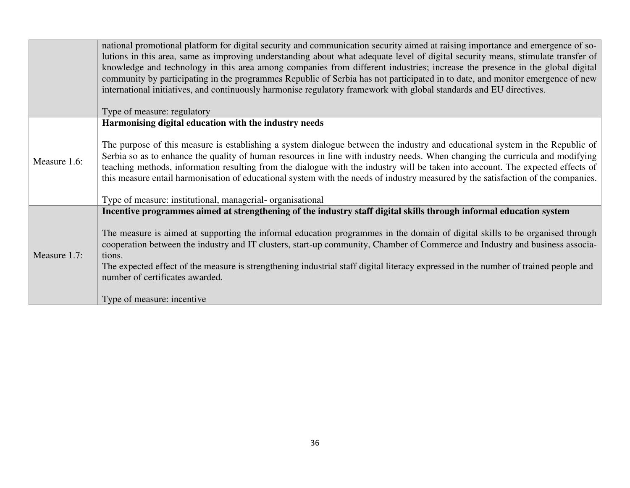|              | national promotional platform for digital security and communication security aimed at raising importance and emergence of so-<br>lutions in this area, same as improving understanding about what adequate level of digital security means, stimulate transfer of<br>knowledge and technology in this area among companies from different industries; increase the presence in the global digital<br>community by participating in the programmes Republic of Serbia has not participated in to date, and monitor emergence of new<br>international initiatives, and continuously harmonise regulatory framework with global standards and EU directives.   |  |
|--------------|--------------------------------------------------------------------------------------------------------------------------------------------------------------------------------------------------------------------------------------------------------------------------------------------------------------------------------------------------------------------------------------------------------------------------------------------------------------------------------------------------------------------------------------------------------------------------------------------------------------------------------------------------------------|--|
|              | Type of measure: regulatory                                                                                                                                                                                                                                                                                                                                                                                                                                                                                                                                                                                                                                  |  |
| Measure 1.6: | Harmonising digital education with the industry needs<br>The purpose of this measure is establishing a system dialogue between the industry and educational system in the Republic of<br>Serbia so as to enhance the quality of human resources in line with industry needs. When changing the curricula and modifying<br>teaching methods, information resulting from the dialogue with the industry will be taken into account. The expected effects of<br>this measure entail harmonisation of educational system with the needs of industry measured by the satisfaction of the companies.<br>Type of measure: institutional, managerial- organisational |  |
| Measure 1.7: | Incentive programmes aimed at strengthening of the industry staff digital skills through informal education system<br>The measure is aimed at supporting the informal education programmes in the domain of digital skills to be organised through<br>cooperation between the industry and IT clusters, start-up community, Chamber of Commerce and Industry and business associa-<br>tions.<br>The expected effect of the measure is strengthening industrial staff digital literacy expressed in the number of trained people and<br>number of certificates awarded.<br>Type of measure: incentive                                                         |  |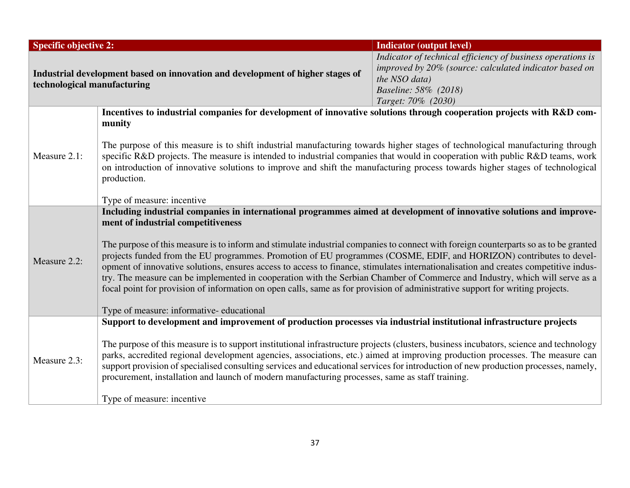| <b>Specific objective 2:</b><br><b>Indicator (output level)</b>                                                                                                                                                                                                                                                                                                                                                                                                                                                                                                                                                                                                                                                                                                      |                                                                                                                                                                                                                                                                                                                                                                                                                |  |
|----------------------------------------------------------------------------------------------------------------------------------------------------------------------------------------------------------------------------------------------------------------------------------------------------------------------------------------------------------------------------------------------------------------------------------------------------------------------------------------------------------------------------------------------------------------------------------------------------------------------------------------------------------------------------------------------------------------------------------------------------------------------|----------------------------------------------------------------------------------------------------------------------------------------------------------------------------------------------------------------------------------------------------------------------------------------------------------------------------------------------------------------------------------------------------------------|--|
| Indicator of technical efficiency of business operations is<br>improved by 20% (source: calculated indicator based on<br>Industrial development based on innovation and development of higher stages of<br>the NSO data)<br>technological manufacturing<br>Baseline: 58% (2018)<br>Target: 70% (2030)                                                                                                                                                                                                                                                                                                                                                                                                                                                                |                                                                                                                                                                                                                                                                                                                                                                                                                |  |
| Incentives to industrial companies for development of innovative solutions through cooperation projects with R&D com-                                                                                                                                                                                                                                                                                                                                                                                                                                                                                                                                                                                                                                                |                                                                                                                                                                                                                                                                                                                                                                                                                |  |
| munity                                                                                                                                                                                                                                                                                                                                                                                                                                                                                                                                                                                                                                                                                                                                                               |                                                                                                                                                                                                                                                                                                                                                                                                                |  |
| Measure 2.1:<br>production.<br>Type of measure: incentive                                                                                                                                                                                                                                                                                                                                                                                                                                                                                                                                                                                                                                                                                                            | The purpose of this measure is to shift industrial manufacturing towards higher stages of technological manufacturing through<br>specific R&D projects. The measure is intended to industrial companies that would in cooperation with public R&D teams, work<br>on introduction of innovative solutions to improve and shift the manufacturing process towards higher stages of technological                 |  |
| Including industrial companies in international programmes aimed at development of innovative solutions and improve-                                                                                                                                                                                                                                                                                                                                                                                                                                                                                                                                                                                                                                                 |                                                                                                                                                                                                                                                                                                                                                                                                                |  |
| ment of industrial competitiveness<br>The purpose of this measure is to inform and stimulate industrial companies to connect with foreign counterparts so as to be granted<br>projects funded from the EU programmes. Promotion of EU programmes (COSME, EDIF, and HORIZON) contributes to devel-<br>Measure 2.2:<br>opment of innovative solutions, ensures access to access to finance, stimulates internationalisation and creates competitive indus-<br>try. The measure can be implemented in cooperation with the Serbian Chamber of Commerce and Industry, which will serve as a<br>focal point for provision of information on open calls, same as for provision of administrative support for writing projects.<br>Type of measure: informative-educational |                                                                                                                                                                                                                                                                                                                                                                                                                |  |
| Support to development and improvement of production processes via industrial institutional infrastructure projects                                                                                                                                                                                                                                                                                                                                                                                                                                                                                                                                                                                                                                                  |                                                                                                                                                                                                                                                                                                                                                                                                                |  |
| Measure 2.3:<br>procurement, installation and launch of modern manufacturing processes, same as staff training.                                                                                                                                                                                                                                                                                                                                                                                                                                                                                                                                                                                                                                                      | The purpose of this measure is to support institutional infrastructure projects (clusters, business incubators, science and technology<br>parks, accredited regional development agencies, associations, etc.) aimed at improving production processes. The measure can<br>support provision of specialised consulting services and educational services for introduction of new production processes, namely, |  |
| Type of measure: incentive                                                                                                                                                                                                                                                                                                                                                                                                                                                                                                                                                                                                                                                                                                                                           |                                                                                                                                                                                                                                                                                                                                                                                                                |  |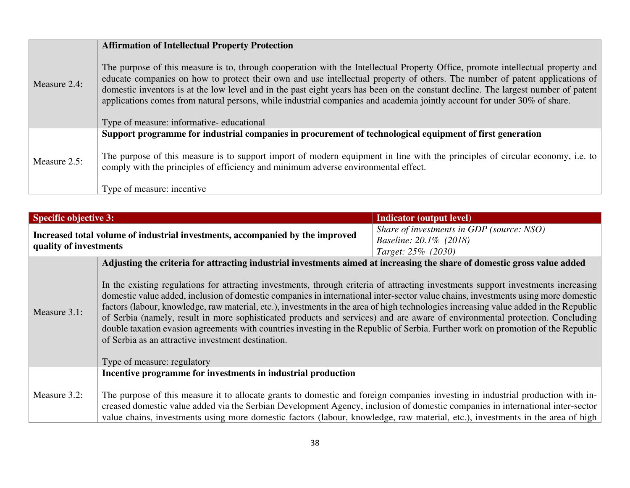|              | <b>Affirmation of Intellectual Property Protection</b>                                                                                                                                                                                                                                                                                                                                                                                                                                                                          |  |  |
|--------------|---------------------------------------------------------------------------------------------------------------------------------------------------------------------------------------------------------------------------------------------------------------------------------------------------------------------------------------------------------------------------------------------------------------------------------------------------------------------------------------------------------------------------------|--|--|
| Measure 2.4: | The purpose of this measure is to, through cooperation with the Intellectual Property Office, promote intellectual property and<br>educate companies on how to protect their own and use intellectual property of others. The number of patent applications of<br>domestic inventors is at the low level and in the past eight years has been on the constant decline. The largest number of patent<br>applications comes from natural persons, while industrial companies and academia jointly account for under 30% of share. |  |  |
|              | Type of measure: informative-educational                                                                                                                                                                                                                                                                                                                                                                                                                                                                                        |  |  |
| Measure 2.5: | Support programme for industrial companies in procurement of technological equipment of first generation<br>The purpose of this measure is to support import of modern equipment in line with the principles of circular economy, i.e. to                                                                                                                                                                                                                                                                                       |  |  |
|              | comply with the principles of efficiency and minimum adverse environmental effect.<br>Type of measure: incentive                                                                                                                                                                                                                                                                                                                                                                                                                |  |  |

| <b>Specific objective 3:</b>                                                                            |                                                                                                                                                                                                                                                                                                                                                                                                                                                                                                                                                                                                                                                                                                                                                                         | <b>Indicator (output level)</b>                                                           |
|---------------------------------------------------------------------------------------------------------|-------------------------------------------------------------------------------------------------------------------------------------------------------------------------------------------------------------------------------------------------------------------------------------------------------------------------------------------------------------------------------------------------------------------------------------------------------------------------------------------------------------------------------------------------------------------------------------------------------------------------------------------------------------------------------------------------------------------------------------------------------------------------|-------------------------------------------------------------------------------------------|
| Increased total volume of industrial investments, accompanied by the improved<br>quality of investments |                                                                                                                                                                                                                                                                                                                                                                                                                                                                                                                                                                                                                                                                                                                                                                         | Share of investments in GDP (source: NSO)<br>Baseline: 20.1% (2018)<br>Target: 25% (2030) |
|                                                                                                         | Adjusting the criteria for attracting industrial investments aimed at increasing the share of domestic gross value added                                                                                                                                                                                                                                                                                                                                                                                                                                                                                                                                                                                                                                                |                                                                                           |
| Measure 3.1:                                                                                            | In the existing regulations for attracting investments, through criteria of attracting investments support investments increasing<br>domestic value added, inclusion of domestic companies in international inter-sector value chains, investments using more domestic<br>factors (labour, knowledge, raw material, etc.), investments in the area of high technologies increasing value added in the Republic<br>of Serbia (namely, result in more sophisticated products and services) and are aware of environmental protection. Concluding<br>double taxation evasion agreements with countries investing in the Republic of Serbia. Further work on promotion of the Republic<br>of Serbia as an attractive investment destination.<br>Type of measure: regulatory |                                                                                           |
|                                                                                                         | Incentive programme for investments in industrial production                                                                                                                                                                                                                                                                                                                                                                                                                                                                                                                                                                                                                                                                                                            |                                                                                           |
| Measure 3.2:                                                                                            | The purpose of this measure it to allocate grants to domestic and foreign companies investing in industrial production with in-<br>creased domestic value added via the Serbian Development Agency, inclusion of domestic companies in international inter-sector<br>value chains, investments using more domestic factors (labour, knowledge, raw material, etc.), investments in the area of high                                                                                                                                                                                                                                                                                                                                                                     |                                                                                           |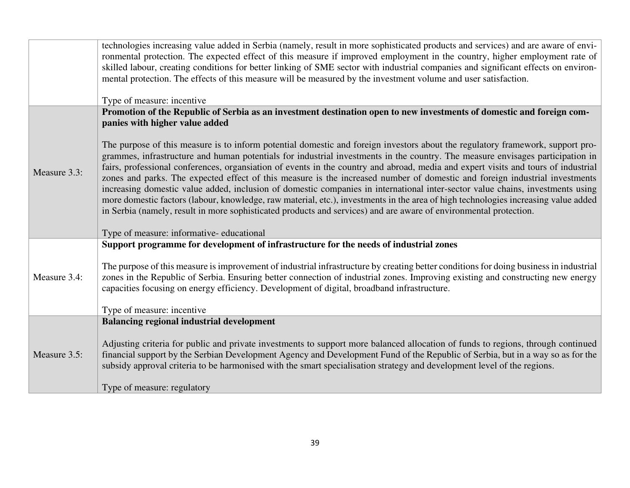|              | technologies increasing value added in Serbia (namely, result in more sophisticated products and services) and are aware of envi-<br>ronmental protection. The expected effect of this measure if improved employment in the country, higher employment rate of<br>skilled labour, creating conditions for better linking of SME sector with industrial companies and significant effects on environ-<br>mental protection. The effects of this measure will be measured by the investment volume and user satisfaction.<br>Type of measure: incentive                                                                                                                                                                                                                                                                                                                                                                             |  |  |
|--------------|------------------------------------------------------------------------------------------------------------------------------------------------------------------------------------------------------------------------------------------------------------------------------------------------------------------------------------------------------------------------------------------------------------------------------------------------------------------------------------------------------------------------------------------------------------------------------------------------------------------------------------------------------------------------------------------------------------------------------------------------------------------------------------------------------------------------------------------------------------------------------------------------------------------------------------|--|--|
|              | Promotion of the Republic of Serbia as an investment destination open to new investments of domestic and foreign com-                                                                                                                                                                                                                                                                                                                                                                                                                                                                                                                                                                                                                                                                                                                                                                                                              |  |  |
|              | panies with higher value added                                                                                                                                                                                                                                                                                                                                                                                                                                                                                                                                                                                                                                                                                                                                                                                                                                                                                                     |  |  |
| Measure 3.3: | The purpose of this measure is to inform potential domestic and foreign investors about the regulatory framework, support pro-<br>grammes, infrastructure and human potentials for industrial investments in the country. The measure envisages participation in<br>fairs, professional conferences, organsiation of events in the country and abroad, media and expert visits and tours of industrial<br>zones and parks. The expected effect of this measure is the increased number of domestic and foreign industrial investments<br>increasing domestic value added, inclusion of domestic companies in international inter-sector value chains, investments using<br>more domestic factors (labour, knowledge, raw material, etc.), investments in the area of high technologies increasing value added<br>in Serbia (namely, result in more sophisticated products and services) and are aware of environmental protection. |  |  |
|              | Type of measure: informative-educational                                                                                                                                                                                                                                                                                                                                                                                                                                                                                                                                                                                                                                                                                                                                                                                                                                                                                           |  |  |
|              | Support programme for development of infrastructure for the needs of industrial zones                                                                                                                                                                                                                                                                                                                                                                                                                                                                                                                                                                                                                                                                                                                                                                                                                                              |  |  |
| Measure 3.4: | The purpose of this measure is improvement of industrial infrastructure by creating better conditions for doing business in industrial<br>zones in the Republic of Serbia. Ensuring better connection of industrial zones. Improving existing and constructing new energy<br>capacities focusing on energy efficiency. Development of digital, broadband infrastructure.                                                                                                                                                                                                                                                                                                                                                                                                                                                                                                                                                           |  |  |
|              | Type of measure: incentive                                                                                                                                                                                                                                                                                                                                                                                                                                                                                                                                                                                                                                                                                                                                                                                                                                                                                                         |  |  |
|              | <b>Balancing regional industrial development</b>                                                                                                                                                                                                                                                                                                                                                                                                                                                                                                                                                                                                                                                                                                                                                                                                                                                                                   |  |  |
| Measure 3.5: | Adjusting criteria for public and private investments to support more balanced allocation of funds to regions, through continued<br>financial support by the Serbian Development Agency and Development Fund of the Republic of Serbia, but in a way so as for the<br>subsidy approval criteria to be harmonised with the smart specialisation strategy and development level of the regions.                                                                                                                                                                                                                                                                                                                                                                                                                                                                                                                                      |  |  |
|              | Type of measure: regulatory                                                                                                                                                                                                                                                                                                                                                                                                                                                                                                                                                                                                                                                                                                                                                                                                                                                                                                        |  |  |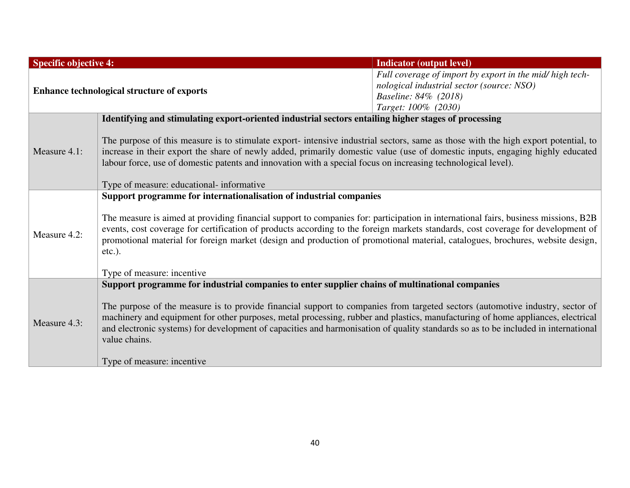| <b>Specific objective 4:</b>                      |                                                                                                                                                                                                                                                                                                                                                                                                                                                                                                                           | <b>Indicator (output level)</b>                                                                                                                      |  |
|---------------------------------------------------|---------------------------------------------------------------------------------------------------------------------------------------------------------------------------------------------------------------------------------------------------------------------------------------------------------------------------------------------------------------------------------------------------------------------------------------------------------------------------------------------------------------------------|------------------------------------------------------------------------------------------------------------------------------------------------------|--|
| <b>Enhance technological structure of exports</b> |                                                                                                                                                                                                                                                                                                                                                                                                                                                                                                                           | Full coverage of import by export in the mid/ high tech-<br>nological industrial sector (source: NSO)<br>Baseline: 84% (2018)<br>Target: 100% (2030) |  |
|                                                   | Identifying and stimulating export-oriented industrial sectors entailing higher stages of processing                                                                                                                                                                                                                                                                                                                                                                                                                      |                                                                                                                                                      |  |
| Measure 4.1:                                      | The purpose of this measure is to stimulate export-intensive industrial sectors, same as those with the high export potential, to<br>increase in their export the share of newly added, primarily domestic value (use of domestic inputs, engaging highly educated<br>labour force, use of domestic patents and innovation with a special focus on increasing technological level).                                                                                                                                       |                                                                                                                                                      |  |
|                                                   | Type of measure: educational- informative                                                                                                                                                                                                                                                                                                                                                                                                                                                                                 |                                                                                                                                                      |  |
| Measure 4.2:                                      | Support programme for internationalisation of industrial companies<br>The measure is aimed at providing financial support to companies for: participation in international fairs, business missions, B2B<br>events, cost coverage for certification of products according to the foreign markets standards, cost coverage for development of<br>promotional material for foreign market (design and production of promotional material, catalogues, brochures, website design,<br>$etc.$ ).<br>Type of measure: incentive |                                                                                                                                                      |  |
|                                                   | Support programme for industrial companies to enter supplier chains of multinational companies                                                                                                                                                                                                                                                                                                                                                                                                                            |                                                                                                                                                      |  |
| Measure 4.3:                                      | The purpose of the measure is to provide financial support to companies from targeted sectors (automotive industry, sector of<br>machinery and equipment for other purposes, metal processing, rubber and plastics, manufacturing of home appliances, electrical<br>and electronic systems) for development of capacities and harmonisation of quality standards so as to be included in international<br>value chains.                                                                                                   |                                                                                                                                                      |  |
|                                                   | Type of measure: incentive                                                                                                                                                                                                                                                                                                                                                                                                                                                                                                |                                                                                                                                                      |  |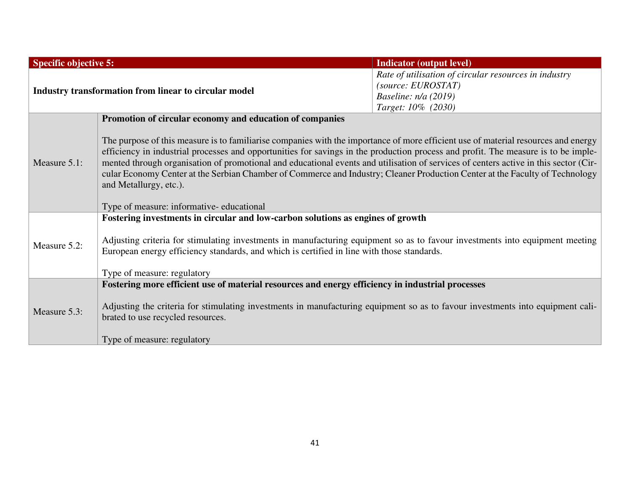| <b>Specific objective 5:</b>                          |                                                                                                                                                                                                                                                                                                                                                                                                                                                                                                                                                                                                                                                                                    | <b>Indicator (output level)</b>                                                                                             |
|-------------------------------------------------------|------------------------------------------------------------------------------------------------------------------------------------------------------------------------------------------------------------------------------------------------------------------------------------------------------------------------------------------------------------------------------------------------------------------------------------------------------------------------------------------------------------------------------------------------------------------------------------------------------------------------------------------------------------------------------------|-----------------------------------------------------------------------------------------------------------------------------|
| Industry transformation from linear to circular model |                                                                                                                                                                                                                                                                                                                                                                                                                                                                                                                                                                                                                                                                                    | Rate of utilisation of circular resources in industry<br>(source: EUROSTAT)<br>Baseline: $n/a$ (2019)<br>Target: 10% (2030) |
| Measure $5.1$ :                                       | Promotion of circular economy and education of companies<br>The purpose of this measure is to familiarise companies with the importance of more efficient use of material resources and energy<br>efficiency in industrial processes and opportunities for savings in the production process and profit. The measure is to be imple-<br>mented through organisation of promotional and educational events and utilisation of services of centers active in this sector (Cir-<br>cular Economy Center at the Serbian Chamber of Commerce and Industry; Cleaner Production Center at the Faculty of Technology<br>and Metallurgy, etc.).<br>Type of measure: informative-educational |                                                                                                                             |
| Measure 5.2:                                          | Fostering investments in circular and low-carbon solutions as engines of growth<br>Adjusting criteria for stimulating investments in manufacturing equipment so as to favour investments into equipment meeting<br>European energy efficiency standards, and which is certified in line with those standards.<br>Type of measure: regulatory                                                                                                                                                                                                                                                                                                                                       |                                                                                                                             |
| Measure 5.3:                                          | Fostering more efficient use of material resources and energy efficiency in industrial processes<br>Adjusting the criteria for stimulating investments in manufacturing equipment so as to favour investments into equipment cali-<br>brated to use recycled resources.<br>Type of measure: regulatory                                                                                                                                                                                                                                                                                                                                                                             |                                                                                                                             |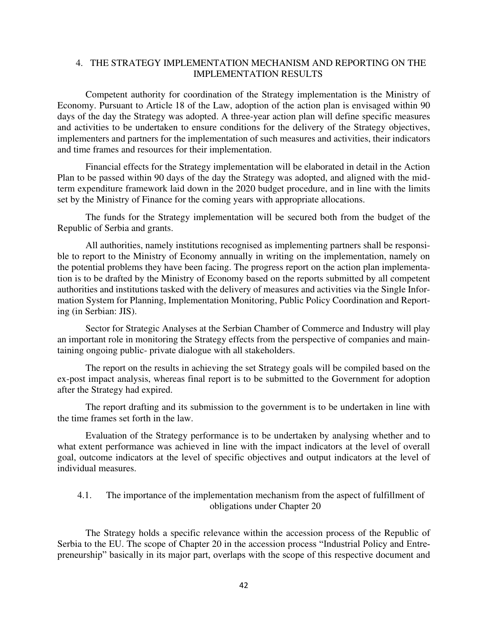## 4. THE STRATEGY IMPLEMENTATION MECHANISM AND REPORTING ON THE IMPLEMENTATION RESULTS

Competent authority for coordination of the Strategy implementation is the Ministry of Economy. Pursuant to Article 18 of the Law, adoption of the action plan is envisaged within 90 days of the day the Strategy was adopted. A three-year action plan will define specific measures and activities to be undertaken to ensure conditions for the delivery of the Strategy objectives, implementers and partners for the implementation of such measures and activities, their indicators and time frames and resources for their implementation.

Financial effects for the Strategy implementation will be elaborated in detail in the Action Plan to be passed within 90 days of the day the Strategy was adopted, and aligned with the midterm expenditure framework laid down in the 2020 budget procedure, and in line with the limits set by the Ministry of Finance for the coming years with appropriate allocations.

The funds for the Strategy implementation will be secured both from the budget of the Republic of Serbia and grants.

All authorities, namely institutions recognised as implementing partners shall be responsible to report to the Ministry of Economy annually in writing on the implementation, namely on the potential problems they have been facing. The progress report on the action plan implementation is to be drafted by the Ministry of Economy based on the reports submitted by all competent authorities and institutions tasked with the delivery of measures and activities via the Single Information System for Planning, Implementation Monitoring, Public Policy Coordination and Reporting (in Serbian: JIS).

Sector for Strategic Analyses at the Serbian Chamber of Commerce and Industry will play an important role in monitoring the Strategy effects from the perspective of companies and maintaining ongoing public- private dialogue with all stakeholders.

The report on the results in achieving the set Strategy goals will be compiled based on the ex-post impact analysis, whereas final report is to be submitted to the Government for adoption after the Strategy had expired.

The report drafting and its submission to the government is to be undertaken in line with the time frames set forth in the law.

Evaluation of the Strategy performance is to be undertaken by analysing whether and to what extent performance was achieved in line with the impact indicators at the level of overall goal, outcome indicators at the level of specific objectives and output indicators at the level of individual measures.

4.1. The importance of the implementation mechanism from the aspect of fulfillment of obligations under Chapter 20

The Strategy holds a specific relevance within the accession process of the Republic of Serbia to the EU. The scope of Chapter 20 in the accession process "Industrial Policy and Entrepreneurship" basically in its major part, overlaps with the scope of this respective document and